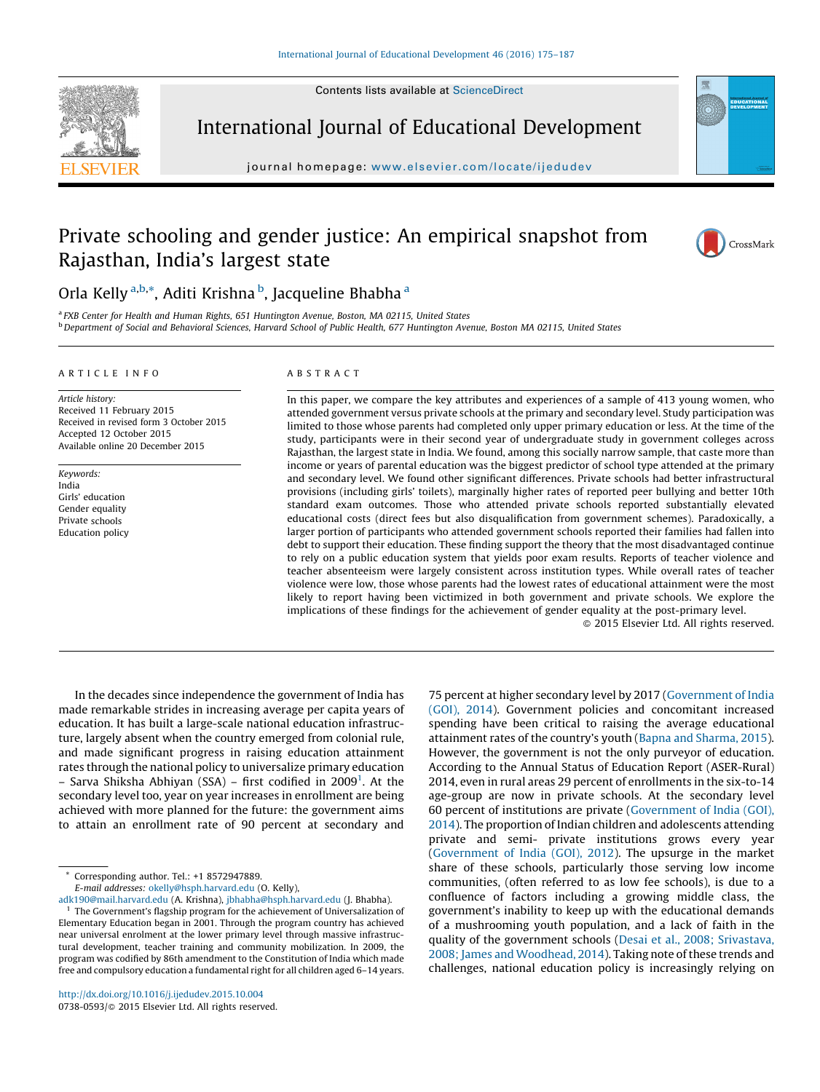Contents lists available at [ScienceDirect](http://www.sciencedirect.com/science/journal/07380593)



International Journal of Educational Development

journal homepage: www.elsevier.com/locate/ijedudev

# Private schooling and gender justice: An empirical snapshot from Rajasthan, India's largest state



# Orla Kelly <sup>a,b,</sup>\*, Aditi Krishna <sup>b</sup>, Jacqueline Bhabha <sup>a</sup>

<sup>a</sup> FXB Center for Health and Human Rights, 651 Huntington Avenue, Boston, MA 02115, United States <sup>b</sup> Department of Social and Behavioral Sciences, Harvard School of Public Health, 677 Huntington Avenue, Boston MA 02115, United States

#### A R T I C L E I N F O

Article history: Received 11 February 2015 Received in revised form 3 October 2015 Accepted 12 October 2015 Available online 20 December 2015

Keywords: India Girls' education Gender equality Private schools Education policy

# A B S T R A C T

In this paper, we compare the key attributes and experiences of a sample of 413 young women, who attended government versus private schools at the primary and secondary level. Study participation was limited to those whose parents had completed only upper primary education or less. At the time of the study, participants were in their second year of undergraduate study in government colleges across Rajasthan, the largest state in India. We found, among this socially narrow sample, that caste more than income or years of parental education was the biggest predictor of school type attended at the primary and secondary level. We found other significant differences. Private schools had better infrastructural provisions (including girls' toilets), marginally higher rates of reported peer bullying and better 10th standard exam outcomes. Those who attended private schools reported substantially elevated educational costs (direct fees but also disqualification from government schemes). Paradoxically, a larger portion of participants who attended government schools reported their families had fallen into debt to support their education. These finding support the theory that the most disadvantaged continue to rely on a public education system that yields poor exam results. Reports of teacher violence and teacher absenteeism were largely consistent across institution types. While overall rates of teacher violence were low, those whose parents had the lowest rates of educational attainment were the most likely to report having been victimized in both government and private schools. We explore the implications of these findings for the achievement of gender equality at the post-primary level.

 $\odot$  2015 Elsevier Ltd. All rights reserved.

In the decades since independence the government of India has made remarkable strides in increasing average per capita years of education. It has built a large-scale national education infrastructure, largely absent when the country emerged from colonial rule, and made significant progress in raising education attainment rates through the national policy to universalize primary education – Sarva Shiksha Abhiyan (SSA) – first codified in 2009<sup>1</sup>. At the secondary level too, year on year increases in enrollment are being achieved with more planned for the future: the government aims to attain an enrollment rate of 90 percent at secondary and

Corresponding author. Tel.: +1 8572947889.

E-mail addresses: [okelly@hsph.harvard.edu](mailto:okelly@hsph.harvard.edu) (O. Kelly),

[adk190@mail.harvard.edu](mailto:adk190@mail.harvard.edu) (A. Krishna), [jbhabha@hsph.harvard.edu](mailto:jbhabha@hsph.harvard.edu) (J. Bhabha). The Government's flagship program for the achievement of Universalization of Elementary Education began in 2001. Through the program country has achieved near universal enrolment at the lower primary level through massive infrastructural development, teacher training and community mobilization. In 2009, the program was codified by 86th amendment to the Constitution of India which made free and compulsory education a fundamental right for all children aged 6–14 years. 75 percent at higher secondary level by 2017 (Government of India (GOI), 2014). Government policies and concomitant increased spending have been critical to raising the average educational attainment rates of the country's youth (Bapna and Sharma, 2015). However, the government is not the only purveyor of education. According to the Annual Status of Education Report (ASER-Rural) 2014, even in rural areas 29 percent of enrollments in the six-to-14 age-group are now in private schools. At the secondary level 60 percent of institutions are private (Government of India (GOI), 2014). The proportion of Indian children and adolescents attending private and semi- private institutions grows every year (Government of India (GOI), 2012). The upsurge in the market share of these schools, particularly those serving low income communities, (often referred to as low fee schools), is due to a confluence of factors including a growing middle class, the government's inability to keep up with the educational demands of a mushrooming youth population, and a lack of faith in the quality of the government schools (Desai et al., 2008; Srivastava, 2008; James and Woodhead, 2014). Taking note of these trends and challenges, national education policy is increasingly relying on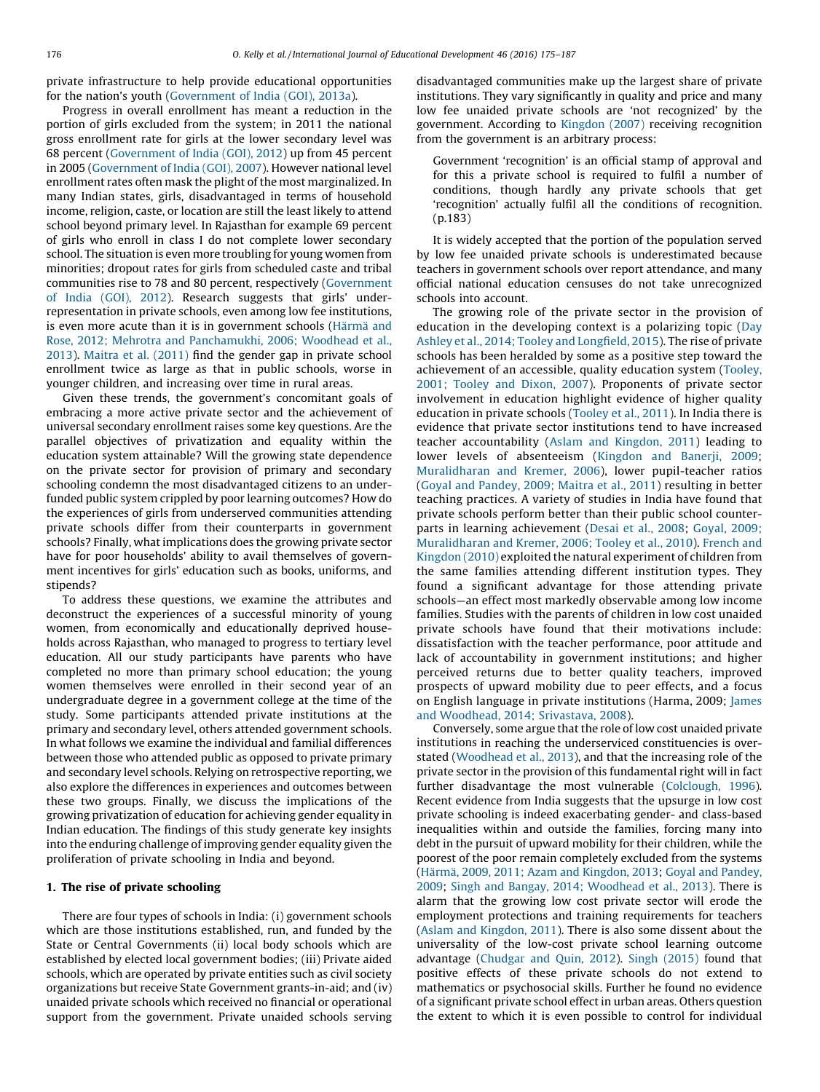private infrastructure to help provide educational opportunities for the nation's youth (Government of India (GOI), 2013a).

Progress in overall enrollment has meant a reduction in the portion of girls excluded from the system; in 2011 the national gross enrollment rate for girls at the lower secondary level was 68 percent (Government of India (GOI), 2012) up from 45 percent in 2005 (Government of India (GOI), 2007). However national level enrollment rates often mask the plight of the most marginalized. In many Indian states, girls, disadvantaged in terms of household income, religion, caste, or location are still the least likely to attend school beyond primary level. In Rajasthan for example 69 percent of girls who enroll in class I do not complete lower secondary school. The situation is even more troubling for young women from minorities; dropout rates for girls from scheduled caste and tribal communities rise to 78 and 80 percent, respectively (Government of India (GOI), 2012). Research suggests that girls' underrepresentation in private schools, even among low fee institutions, is even more acute than it is in government schools (Härmä and Rose, 2012; Mehrotra and Panchamukhi, 2006; Woodhead et al., 2013). Maitra et al. (2011) find the gender gap in private school enrollment twice as large as that in public schools, worse in younger children, and increasing over time in rural areas.

Given these trends, the government's concomitant goals of embracing a more active private sector and the achievement of universal secondary enrollment raises some key questions. Are the parallel objectives of privatization and equality within the education system attainable? Will the growing state dependence on the private sector for provision of primary and secondary schooling condemn the most disadvantaged citizens to an underfunded public system crippled by poor learning outcomes? How do the experiences of girls from underserved communities attending private schools differ from their counterparts in government schools? Finally, what implications does the growing private sector have for poor households' ability to avail themselves of government incentives for girls' education such as books, uniforms, and stipends?

To address these questions, we examine the attributes and deconstruct the experiences of a successful minority of young women, from economically and educationally deprived households across Rajasthan, who managed to progress to tertiary level education. All our study participants have parents who have completed no more than primary school education; the young women themselves were enrolled in their second year of an undergraduate degree in a government college at the time of the study. Some participants attended private institutions at the primary and secondary level, others attended government schools. In what follows we examine the individual and familial differences between those who attended public as opposed to private primary and secondary level schools. Relying on retrospective reporting, we also explore the differences in experiences and outcomes between these two groups. Finally, we discuss the implications of the growing privatization of education for achieving gender equality in Indian education. The findings of this study generate key insights into the enduring challenge of improving gender equality given the proliferation of private schooling in India and beyond.

#### 1. The rise of private schooling

There are four types of schools in India: (i) government schools which are those institutions established, run, and funded by the State or Central Governments (ii) local body schools which are established by elected local government bodies; (iii) Private aided schools, which are operated by private entities such as civil society organizations but receive State Government grants-in-aid; and (iv) unaided private schools which received no financial or operational support from the government. Private unaided schools serving disadvantaged communities make up the largest share of private institutions. They vary significantly in quality and price and many low fee unaided private schools are 'not recognized' by the government. According to Kingdon (2007) receiving recognition from the government is an arbitrary process:

Government 'recognition' is an official stamp of approval and for this a private school is required to fulfil a number of conditions, though hardly any private schools that get 'recognition' actually fulfil all the conditions of recognition. (p.183)

It is widely accepted that the portion of the population served by low fee unaided private schools is underestimated because teachers in government schools over report attendance, and many official national education censuses do not take unrecognized schools into account.

The growing role of the private sector in the provision of education in the developing context is a polarizing topic (Day Ashley et al., 2014; Tooley and Longfield, 2015). The rise of private schools has been heralded by some as a positive step toward the achievement of an accessible, quality education system (Tooley, 2001; Tooley and Dixon, 2007). Proponents of private sector involvement in education highlight evidence of higher quality education in private schools (Tooley et al., 2011). In India there is evidence that private sector institutions tend to have increased teacher accountability (Aslam and Kingdon, 2011) leading to lower levels of absenteeism (Kingdon and Banerji, 2009; Muralidharan and Kremer, 2006), lower pupil-teacher ratios (Goyal and Pandey, 2009; Maitra et al., 2011) resulting in better teaching practices. A variety of studies in India have found that private schools perform better than their public school counterparts in learning achievement (Desai et al., 2008; Goyal, 2009; Muralidharan and Kremer, 2006; Tooley et al., 2010). French and Kingdon (2010) exploited the natural experiment of children from the same families attending different institution types. They found a significant advantage for those attending private schools—an effect most markedly observable among low income families. Studies with the parents of children in low cost unaided private schools have found that their motivations include: dissatisfaction with the teacher performance, poor attitude and lack of accountability in government institutions; and higher perceived returns due to better quality teachers, improved prospects of upward mobility due to peer effects, and a focus on English language in private institutions (Harma, 2009; James and Woodhead, 2014; Srivastava, 2008).

Conversely, some argue that the role of low cost unaided private institutions in reaching the underserviced constituencies is overstated (Woodhead et al., 2013), and that the increasing role of the private sector in the provision of this fundamental right will in fact further disadvantage the most vulnerable (Colclough, 1996). Recent evidence from India suggests that the upsurge in low cost private schooling is indeed exacerbating gender- and class-based inequalities within and outside the families, forcing many into debt in the pursuit of upward mobility for their children, while the poorest of the poor remain completely excluded from the systems (Härmä, 2009, 2011; Azam and Kingdon, 2013; Goyal and Pandey, 2009; Singh and Bangay, 2014; Woodhead et al., 2013). There is alarm that the growing low cost private sector will erode the employment protections and training requirements for teachers (Aslam and Kingdon, 2011). There is also some dissent about the universality of the low-cost private school learning outcome advantage (Chudgar and Quin, 2012). Singh (2015) found that positive effects of these private schools do not extend to mathematics or psychosocial skills. Further he found no evidence of a significant private school effect in urban areas. Others question the extent to which it is even possible to control for individual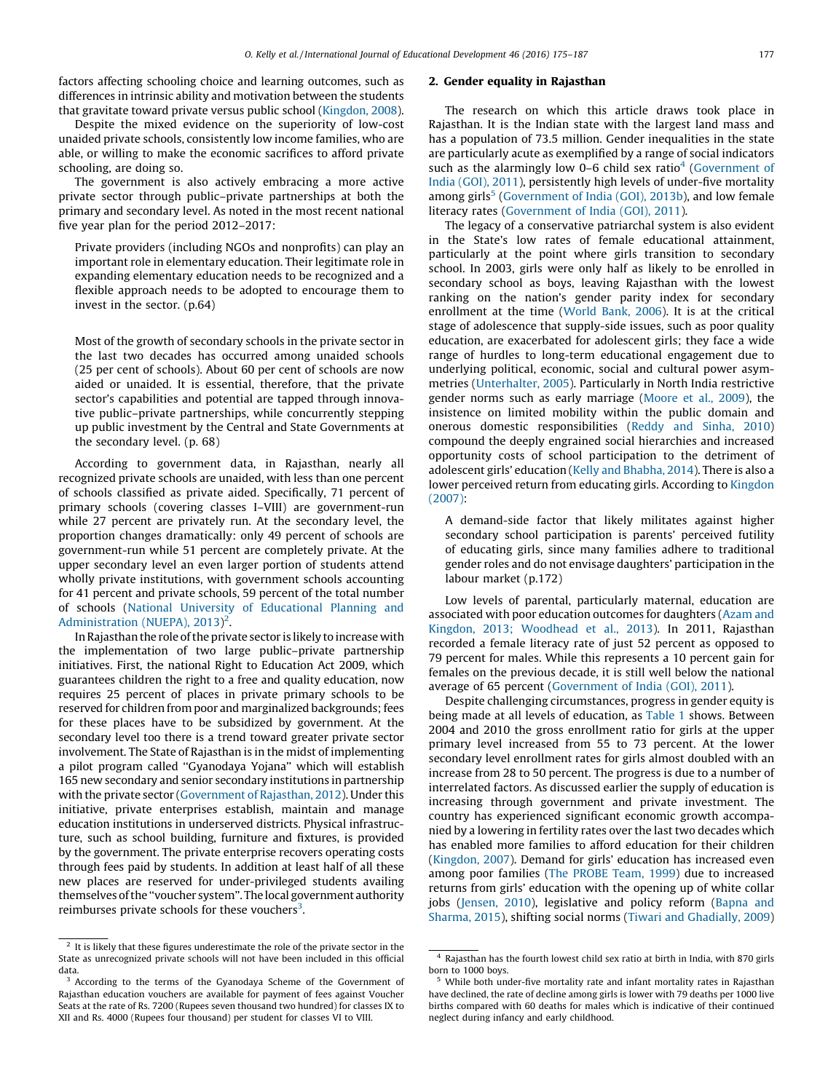factors affecting schooling choice and learning outcomes, such as differences in intrinsic ability and motivation between the students that gravitate toward private versus public school (Kingdon, 2008).

Despite the mixed evidence on the superiority of low-cost unaided private schools, consistently low income families, who are able, or willing to make the economic sacrifices to afford private schooling, are doing so.

The government is also actively embracing a more active private sector through public–private partnerships at both the primary and secondary level. As noted in the most recent national five year plan for the period 2012–2017:

Private providers (including NGOs and nonprofits) can play an important role in elementary education. Their legitimate role in expanding elementary education needs to be recognized and a flexible approach needs to be adopted to encourage them to invest in the sector. (p.64)

Most of the growth of secondary schools in the private sector in the last two decades has occurred among unaided schools (25 per cent of schools). About 60 per cent of schools are now aided or unaided. It is essential, therefore, that the private sector's capabilities and potential are tapped through innovative public–private partnerships, while concurrently stepping up public investment by the Central and State Governments at the secondary level. (p. 68)

According to government data, in Rajasthan, nearly all recognized private schools are unaided, with less than one percent of schools classified as private aided. Specifically, 71 percent of primary schools (covering classes I–VIII) are government-run while 27 percent are privately run. At the secondary level, the proportion changes dramatically: only 49 percent of schools are government-run while 51 percent are completely private. At the upper secondary level an even larger portion of students attend wholly private institutions, with government schools accounting for 41 percent and private schools, 59 percent of the total number of schools (National University of Educational Planning and Administration (NUEPA), 2013)<sup>2</sup>.

In Rajasthan the role of the private sector is likely to increase with the implementation of two large public–private partnership initiatives. First, the national Right to Education Act 2009, which guarantees children the right to a free and quality education, now requires 25 percent of places in private primary schools to be reserved for children from poor and marginalized backgrounds; fees for these places have to be subsidized by government. At the secondary level too there is a trend toward greater private sector involvement. The State of Rajasthan is in the midst of implementing a pilot program called ''Gyanodaya Yojana'' which will establish 165 new secondary and senior secondary institutions in partnership with the private sector (Government of Rajasthan, 2012). Under this initiative, private enterprises establish, maintain and manage education institutions in underserved districts. Physical infrastructure, such as school building, furniture and fixtures, is provided by the government. The private enterprise recovers operating costs through fees paid by students. In addition at least half of all these new places are reserved for under-privileged students availing themselves of the "voucher system". The local government authority reimburses private schools for these vouchers<sup>3</sup>.

#### 2. Gender equality in Rajasthan

The research on which this article draws took place in Rajasthan. It is the Indian state with the largest land mass and has a population of 73.5 million. Gender inequalities in the state are particularly acute as exemplified by a range of social indicators such as the alarmingly low 0–6 child sex ratio $4$  (Government of India (GOI), 2011), persistently high levels of under-five mortality among girls<sup>5</sup> (Government of India (GOI), 2013b), and low female literacy rates (Government of India (GOI), 2011).

The legacy of a conservative patriarchal system is also evident in the State's low rates of female educational attainment, particularly at the point where girls transition to secondary school. In 2003, girls were only half as likely to be enrolled in secondary school as boys, leaving Rajasthan with the lowest ranking on the nation's gender parity index for secondary enrollment at the time (World Bank, 2006). It is at the critical stage of adolescence that supply-side issues, such as poor quality education, are exacerbated for adolescent girls; they face a wide range of hurdles to long-term educational engagement due to underlying political, economic, social and cultural power asymmetries (Unterhalter, 2005). Particularly in North India restrictive gender norms such as early marriage (Moore et al., 2009), the insistence on limited mobility within the public domain and onerous domestic responsibilities (Reddy and Sinha, 2010) compound the deeply engrained social hierarchies and increased opportunity costs of school participation to the detriment of adolescent girls' education (Kelly and Bhabha, 2014). There is also a lower perceived return from educating girls. According to Kingdon (2007):

A demand-side factor that likely militates against higher secondary school participation is parents' perceived futility of educating girls, since many families adhere to traditional gender roles and do not envisage daughters' participation in the labour market (p.172)

Low levels of parental, particularly maternal, education are associated with poor education outcomes for daughters (Azam and Kingdon, 2013; Woodhead et al., 2013). In 2011, Rajasthan recorded a female literacy rate of just 52 percent as opposed to 79 percent for males. While this represents a 10 percent gain for females on the previous decade, it is still well below the national average of 65 percent (Government of India (GOI), 2011).

Despite challenging circumstances, progress in gender equity is being made at all levels of education, as Table 1 shows. Between 2004 and 2010 the gross enrollment ratio for girls at the upper primary level increased from 55 to 73 percent. At the lower secondary level enrollment rates for girls almost doubled with an increase from 28 to 50 percent. The progress is due to a number of interrelated factors. As discussed earlier the supply of education is increasing through government and private investment. The country has experienced significant economic growth accompanied by a lowering in fertility rates over the last two decades which has enabled more families to afford education for their children (Kingdon, 2007). Demand for girls' education has increased even among poor families (The PROBE Team, 1999) due to increased returns from girls' education with the opening up of white collar jobs (Jensen, 2010), legislative and policy reform (Bapna and Sharma, 2015), shifting social norms (Tiwari and Ghadially, 2009)

 $2$  It is likely that these figures underestimate the role of the private sector in the State as unrecognized private schools will not have been included in this official data.

According to the terms of the Gyanodaya Scheme of the Government of Rajasthan education vouchers are available for payment of fees against Voucher Seats at the rate of Rs. 7200 (Rupees seven thousand two hundred) for classes IX to XII and Rs. 4000 (Rupees four thousand) per student for classes VI to VIII.

<sup>4</sup> Rajasthan has the fourth lowest child sex ratio at birth in India, with 870 girls born to 1000 boys.

While both under-five mortality rate and infant mortality rates in Rajasthan have declined, the rate of decline among girls is lower with 79 deaths per 1000 live births compared with 60 deaths for males which is indicative of their continued neglect during infancy and early childhood.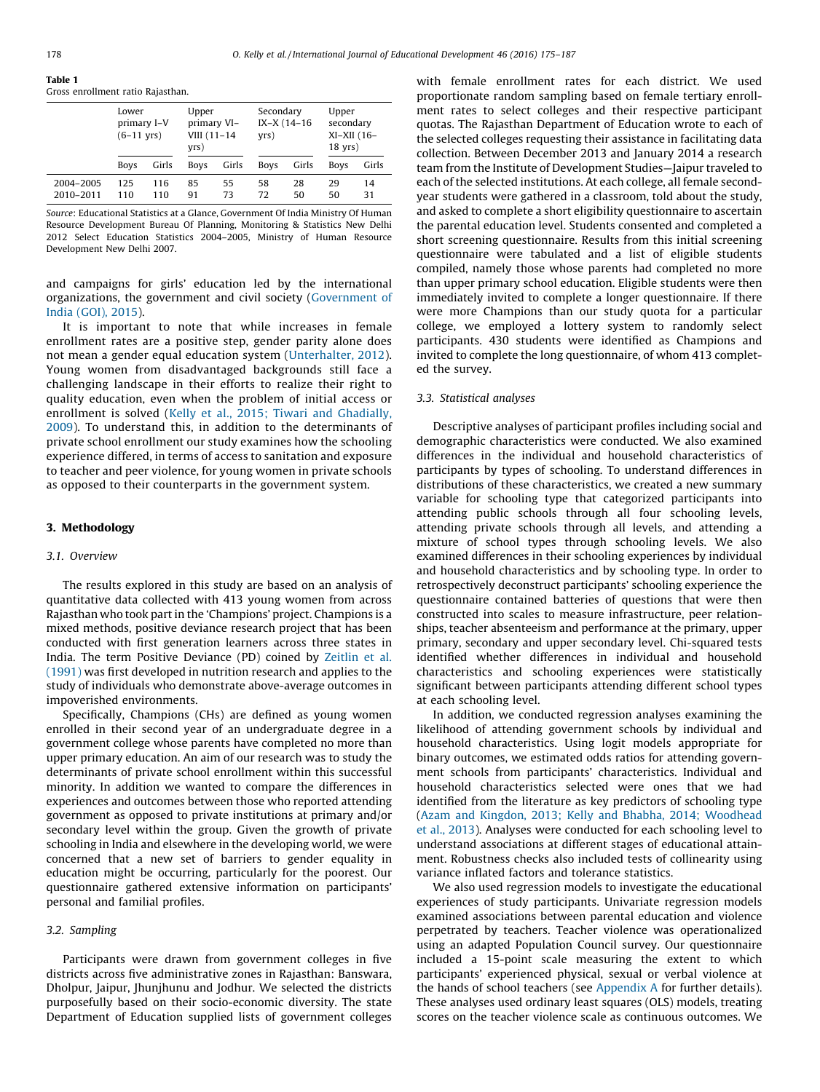#### Gross enrollment ratio Rajasthan.

|           | Lower<br>primary I-V<br>$(6-11 \text{ yrs})$ |       | Upper<br>primary VI-<br>$VIII(11-14)$<br>V(s) |       | Secondary<br>$IX-X (14-16)$<br>V(s) |       | Upper<br>secondary<br>XI-XII (16-<br>$18$ vrs) |       |
|-----------|----------------------------------------------|-------|-----------------------------------------------|-------|-------------------------------------|-------|------------------------------------------------|-------|
|           | <b>Boys</b>                                  | Girls | <b>Boys</b>                                   | Girls | <b>Boys</b>                         | Girls | <b>Boys</b>                                    | Girls |
| 2004-2005 | 125                                          | 116   | 85                                            | 55    | 58                                  | 28    | 29                                             | 14    |
| 2010-2011 | 110                                          | 110   | 91                                            | 73    | 72                                  | 50    | 50                                             | 31    |

Source: Educational Statistics at a Glance, Government Of India Ministry Of Human Resource Development Bureau Of Planning, Monitoring & Statistics New Delhi 2012 Select Education Statistics 2004–2005, Ministry of Human Resource Development New Delhi 2007.

and campaigns for girls' education led by the international organizations, the government and civil society (Government of India (GOI), 2015).

It is important to note that while increases in female enrollment rates are a positive step, gender parity alone does not mean a gender equal education system (Unterhalter, 2012). Young women from disadvantaged backgrounds still face a challenging landscape in their efforts to realize their right to quality education, even when the problem of initial access or enrollment is solved (Kelly et al., 2015; Tiwari and Ghadially, 2009). To understand this, in addition to the determinants of private school enrollment our study examines how the schooling experience differed, in terms of access to sanitation and exposure to teacher and peer violence, for young women in private schools as opposed to their counterparts in the government system.

# 3. Methodology

#### 3.1. Overview

The results explored in this study are based on an analysis of quantitative data collected with 413 young women from across Rajasthan who took partin the 'Champions' project. Champions is a mixed methods, positive deviance research project that has been conducted with first generation learners across three states in India. The term Positive Deviance (PD) coined by Zeitlin et al. (1991) was first developed in nutrition research and applies to the study of individuals who demonstrate above-average outcomes in impoverished environments.

Specifically, Champions (CHs) are defined as young women enrolled in their second year of an undergraduate degree in a government college whose parents have completed no more than upper primary education. An aim of our research was to study the determinants of private school enrollment within this successful minority. In addition we wanted to compare the differences in experiences and outcomes between those who reported attending government as opposed to private institutions at primary and/or secondary level within the group. Given the growth of private schooling in India and elsewhere in the developing world, we were concerned that a new set of barriers to gender equality in education might be occurring, particularly for the poorest. Our questionnaire gathered extensive information on participants' personal and familial profiles.

#### 3.2. Sampling

Participants were drawn from government colleges in five districts across five administrative zones in Rajasthan: Banswara, Dholpur, Jaipur, Jhunjhunu and Jodhur. We selected the districts purposefully based on their socio-economic diversity. The state Department of Education supplied lists of government colleges with female enrollment rates for each district. We used proportionate random sampling based on female tertiary enrollment rates to select colleges and their respective participant quotas. The Rajasthan Department of Education wrote to each of the selected colleges requesting their assistance in facilitating data collection. Between December 2013 and January 2014 a research team from the Institute of Development Studies—Jaipur traveled to each of the selected institutions. At each college, all female secondyear students were gathered in a classroom, told about the study, and asked to complete a short eligibility questionnaire to ascertain the parental education level. Students consented and completed a short screening questionnaire. Results from this initial screening questionnaire were tabulated and a list of eligible students compiled, namely those whose parents had completed no more than upper primary school education. Eligible students were then immediately invited to complete a longer questionnaire. If there were more Champions than our study quota for a particular college, we employed a lottery system to randomly select participants. 430 students were identified as Champions and invited to complete the long questionnaire, of whom 413 completed the survey.

### 3.3. Statistical analyses

Descriptive analyses of participant profiles including social and demographic characteristics were conducted. We also examined differences in the individual and household characteristics of participants by types of schooling. To understand differences in distributions of these characteristics, we created a new summary variable for schooling type that categorized participants into attending public schools through all four schooling levels, attending private schools through all levels, and attending a mixture of school types through schooling levels. We also examined differences in their schooling experiences by individual and household characteristics and by schooling type. In order to retrospectively deconstruct participants' schooling experience the questionnaire contained batteries of questions that were then constructed into scales to measure infrastructure, peer relationships, teacher absenteeism and performance at the primary, upper primary, secondary and upper secondary level. Chi-squared tests identified whether differences in individual and household characteristics and schooling experiences were statistically significant between participants attending different school types at each schooling level.

In addition, we conducted regression analyses examining the likelihood of attending government schools by individual and household characteristics. Using logit models appropriate for binary outcomes, we estimated odds ratios for attending government schools from participants' characteristics. Individual and household characteristics selected were ones that we had identified from the literature as key predictors of schooling type (Azam and Kingdon, 2013; Kelly and Bhabha, 2014; Woodhead et al., 2013). Analyses were conducted for each schooling level to understand associations at different stages of educational attainment. Robustness checks also included tests of collinearity using variance inflated factors and tolerance statistics.

We also used regression models to investigate the educational experiences of study participants. Univariate regression models examined associations between parental education and violence perpetrated by teachers. Teacher violence was operationalized using an adapted Population Council survey. Our questionnaire included a 15-point scale measuring the extent to which participants' experienced physical, sexual or verbal violence at the hands of school teachers (see Appendix A for further details). These analyses used ordinary least squares (OLS) models, treating scores on the teacher violence scale as continuous outcomes. We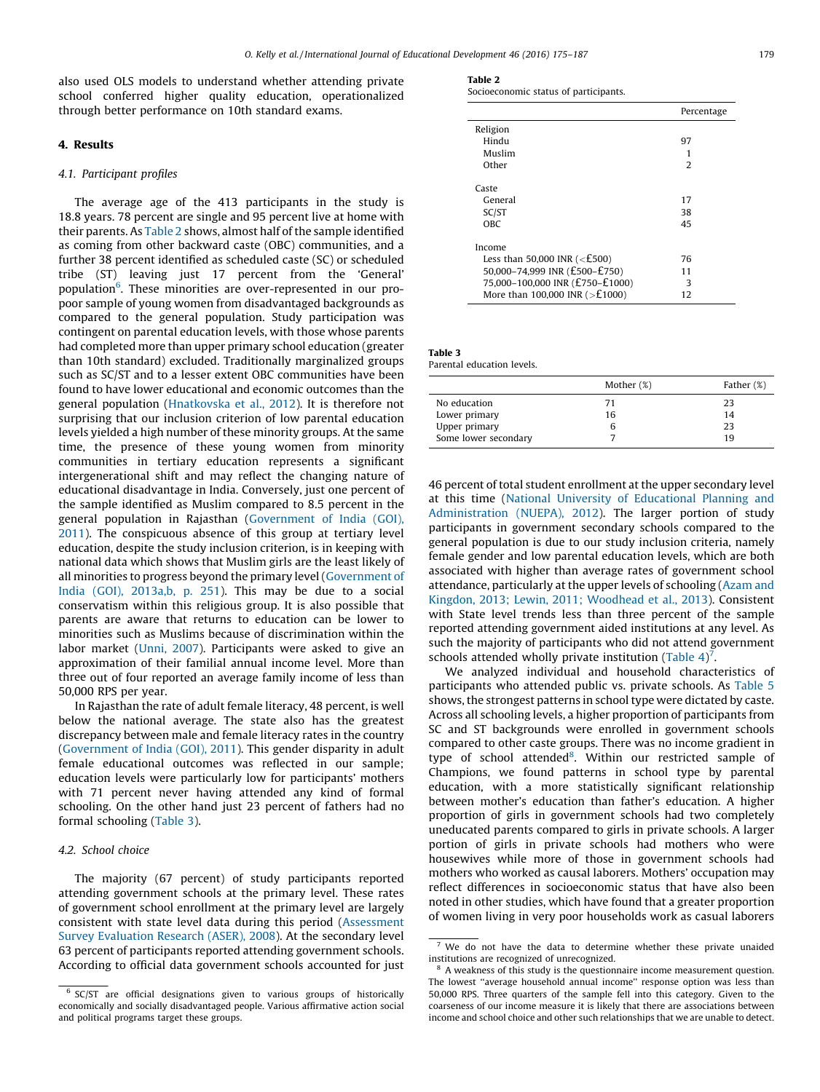also used OLS models to understand whether attending private school conferred higher quality education, operationalized through better performance on 10th standard exams.

# 4. Results

#### 4.1. Participant profiles

The average age of the 413 participants in the study is 18.8 years. 78 percent are single and 95 percent live at home with their parents. As Table 2 shows, almost half of the sample identified as coming from other backward caste (OBC) communities, and a further 38 percent identified as scheduled caste (SC) or scheduled tribe (ST) leaving just 17 percent from the 'General' population<sup>6</sup>. These minorities are over-represented in our propoor sample of young women from disadvantaged backgrounds as compared to the general population. Study participation was contingent on parental education levels, with those whose parents had completed more than upper primary school education (greater than 10th standard) excluded. Traditionally marginalized groups such as SC/ST and to a lesser extent OBC communities have been found to have lower educational and economic outcomes than the general population (Hnatkovska et al., 2012). It is therefore not surprising that our inclusion criterion of low parental education levels yielded a high number of these minority groups. At the same time, the presence of these young women from minority communities in tertiary education represents a significant intergenerational shift and may reflect the changing nature of educational disadvantage in India. Conversely, just one percent of the sample identified as Muslim compared to 8.5 percent in the general population in Rajasthan (Government of India (GOI), 2011). The conspicuous absence of this group at tertiary level education, despite the study inclusion criterion, is in keeping with national data which shows that Muslim girls are the least likely of all minorities to progress beyond the primary level (Government of India (GOI), 2013a,b, p. 251). This may be due to a social conservatism within this religious group. It is also possible that parents are aware that returns to education can be lower to minorities such as Muslims because of discrimination within the labor market (Unni, 2007). Participants were asked to give an approximation of their familial annual income level. More than three out of four reported an average family income of less than 50,000 RPS per year.

In Rajasthan the rate of adult female literacy, 48 percent, is well below the national average. The state also has the greatest discrepancy between male and female literacy rates in the country (Government of India (GOI), 2011). This gender disparity in adult female educational outcomes was reflected in our sample; education levels were particularly low for participants' mothers with 71 percent never having attended any kind of formal schooling. On the other hand just 23 percent of fathers had no formal schooling (Table 3).

# 4.2. School choice

The majority (67 percent) of study participants reported attending government schools at the primary level. These rates of government school enrollment at the primary level are largely consistent with state level data during this period (Assessment Survey Evaluation Research (ASER), 2008). At the secondary level 63 percent of participants reported attending government schools. According to official data government schools accounted for just

Socioeconomic status of participants.

|                                    | Percentage |
|------------------------------------|------------|
| Religion                           |            |
| Hindu                              | 97         |
| Muslim                             | 1          |
| Other                              | 2          |
| Caste                              |            |
| General                            | 17         |
| SC/ST                              | 38         |
| <b>OBC</b>                         | 45         |
| Income                             |            |
| Less than 50,000 INR (< $£500$ )   | 76         |
| 50,000-74,999 INR (£500-£750)      | 11         |
| 75,000-100,000 INR (£750-£1000)    | 3          |
| More than 100,000 INR ( $>E$ 1000) | 12         |

| Table 3                    |  |
|----------------------------|--|
| Parental education levels. |  |

|                      | Mother (%) | Father (%) |
|----------------------|------------|------------|
| No education         | 71         | 23         |
| Lower primary        | 16         | 14         |
| Upper primary        |            | 23         |
| Some lower secondary |            | 19         |

46 percent of total student enrollment at the upper secondary level at this time (National University of Educational Planning and Administration (NUEPA), 2012). The larger portion of study participants in government secondary schools compared to the general population is due to our study inclusion criteria, namely female gender and low parental education levels, which are both associated with higher than average rates of government school attendance, particularly at the upper levels of schooling (Azam and Kingdon, 2013; Lewin, 2011; Woodhead et al., 2013). Consistent with State level trends less than three percent of the sample reported attending government aided institutions at any level. As such the majority of participants who did not attend government schools attended wholly private institution (Table  $4$ )<sup>7</sup>.

We analyzed individual and household characteristics of participants who attended public vs. private schools. As Table 5 shows, the strongest patterns in school type were dictated by caste. Across all schooling levels, a higher proportion of participants from SC and ST backgrounds were enrolled in government schools compared to other caste groups. There was no income gradient in type of school attended<sup>8</sup>. Within our restricted sample of Champions, we found patterns in school type by parental education, with a more statistically significant relationship between mother's education than father's education. A higher proportion of girls in government schools had two completely uneducated parents compared to girls in private schools. A larger portion of girls in private schools had mothers who were housewives while more of those in government schools had mothers who worked as causal laborers. Mothers' occupation may reflect differences in socioeconomic status that have also been noted in other studies, which have found that a greater proportion of women living in very poor households work as casual laborers

 $6$  SC/ST are official designations given to various groups of historically economically and socially disadvantaged people. Various affirmative action social and political programs target these groups.

<sup>&</sup>lt;sup>7</sup> We do not have the data to determine whether these private unaided institutions are recognized of unrecognized.

<sup>&</sup>lt;sup>8</sup> A weakness of this study is the questionnaire income measurement question. The lowest ''average household annual income'' response option was less than 50,000 RPS. Three quarters of the sample fell into this category. Given to the coarseness of our income measure it is likely that there are associations between income and school choice and other such relationships that we are unable to detect.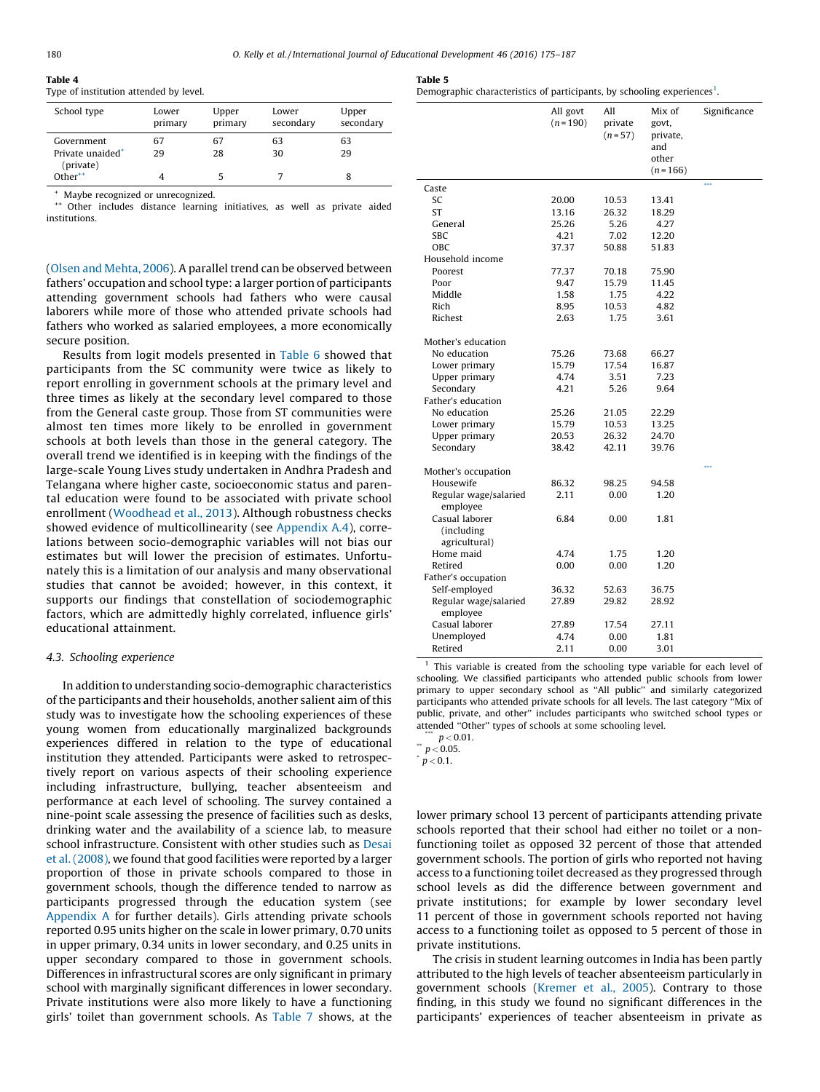| Type of institution attended by level. |  |  |  |  |  |
|----------------------------------------|--|--|--|--|--|
|----------------------------------------|--|--|--|--|--|

| School type                               | Lower<br>primary | Upper<br>primary | Lower<br>secondary | Upper<br>secondary |
|-------------------------------------------|------------------|------------------|--------------------|--------------------|
| Government                                | 67               | 67               | 63                 | 63                 |
| Private unaided <sup>+</sup><br>(private) | 29               | 28               | 30                 | 29                 |
| Other <sup>++</sup>                       |                  |                  |                    | 8                  |

Maybe recognized or unrecognized.

++ Other includes distance learning initiatives, as well as private aided institutions.

(Olsen and Mehta, 2006). A parallel trend can be observed between fathers' occupation and school type: a larger portion of participants attending government schools had fathers who were causal laborers while more of those who attended private schools had fathers who worked as salaried employees, a more economically secure position.

Results from logit models presented in Table 6 showed that participants from the SC community were twice as likely to report enrolling in government schools at the primary level and three times as likely at the secondary level compared to those from the General caste group. Those from ST communities were almost ten times more likely to be enrolled in government schools at both levels than those in the general category. The overall trend we identified is in keeping with the findings of the large-scale Young Lives study undertaken in Andhra Pradesh and Telangana where higher caste, socioeconomic status and parental education were found to be associated with private school enrollment (Woodhead et al., 2013). Although robustness checks showed evidence of multicollinearity (see Appendix A.4), correlations between socio-demographic variables will not bias our estimates but will lower the precision of estimates. Unfortunately this is a limitation of our analysis and many observational studies that cannot be avoided; however, in this context, it supports our findings that constellation of sociodemographic factors, which are admittedly highly correlated, influence girls' educational attainment.

#### 4.3. Schooling experience

In addition to understanding socio-demographic characteristics of the participants and their households, another salient aim of this study was to investigate how the schooling experiences of these young women from educationally marginalized backgrounds experiences differed in relation to the type of educational institution they attended. Participants were asked to retrospectively report on various aspects of their schooling experience including infrastructure, bullying, teacher absenteeism and performance at each level of schooling. The survey contained a nine-point scale assessing the presence of facilities such as desks, drinking water and the availability of a science lab, to measure school infrastructure. Consistent with other studies such as Desai et al. (2008), we found that good facilities were reported by a larger proportion of those in private schools compared to those in government schools, though the difference tended to narrow as participants progressed through the education system (see Appendix A for further details). Girls attending private schools reported 0.95 units higher on the scale in lower primary, 0.70 units in upper primary, 0.34 units in lower secondary, and 0.25 units in upper secondary compared to those in government schools. Differences in infrastructural scores are only significant in primary school with marginally significant differences in lower secondary. Private institutions were also more likely to have a functioning girls' toilet than government schools. As Table 7 shows, at the

|--|--|

Demographic characteristics of participants, by schooling experiences<sup>1</sup>.

| $(n=166)$<br><br>Caste<br>SC<br>20.00<br>10.53<br>13.41<br><b>ST</b><br>13.16<br>26.32<br>18.29<br>General<br>25.26<br>5.26<br>4.27<br><b>SBC</b><br>4.21<br>7.02<br>12.20<br>OBC<br>37.37<br>50.88<br>51.83<br>Household income<br>77.37<br>Poorest<br>70.18<br>75.90<br>9.47<br>15.79<br>11.45<br>Poor<br>Middle<br>1.58<br>1.75<br>4.22<br>Rich<br>8.95<br>10.53<br>4.82<br>Richest<br>1.75<br>2.63<br>3.61<br>Mother's education<br>No education<br>75.26<br>73.68<br>66.27<br>Lower primary<br>17.54<br>15.79<br>16.87<br>Upper primary<br>4.74<br>3.51<br>7.23<br>Secondary<br>4.21<br>5.26<br>9.64<br>Father's education<br>No education<br>25.26<br>21.05<br>22.29<br>Lower primary<br>15.79<br>10.53<br>13.25<br>Upper primary<br>20.53<br>26.32<br>24.70<br>Secondary<br>38.42<br>42.11<br>39.76<br>Mother's occupation<br>Housewife<br>86.32<br>98.25<br>94.58<br>Regular wage/salaried<br>2.11<br>1.20<br>0.00<br>employee<br>Casual laborer<br>6.84<br>0.00<br>1.81<br>(including<br>agricultural)<br>Home maid<br>4.74<br>1.75<br>1.20<br>Retired<br>0.00<br>0.00<br>1.20<br>Father's occupation<br>Self-employed<br>36.32<br>52.63<br>36.75<br>Regular wage/salaried<br>27.89<br>29.82<br>28.92<br>employee<br>Casual laborer<br>27.89<br>17.54<br>27.11<br>Unemployed<br>4.74<br>0.00<br>1.81<br>Retired<br>2.11<br>0.00<br>3.01 | All govt<br>$(n=190)$ | All<br>private<br>$(n=57)$ | Mix of<br>govt,<br>private,<br>and<br>other | Significance |
|--------------------------------------------------------------------------------------------------------------------------------------------------------------------------------------------------------------------------------------------------------------------------------------------------------------------------------------------------------------------------------------------------------------------------------------------------------------------------------------------------------------------------------------------------------------------------------------------------------------------------------------------------------------------------------------------------------------------------------------------------------------------------------------------------------------------------------------------------------------------------------------------------------------------------------------------------------------------------------------------------------------------------------------------------------------------------------------------------------------------------------------------------------------------------------------------------------------------------------------------------------------------------------------------------------------------------------------------------|-----------------------|----------------------------|---------------------------------------------|--------------|
|                                                                                                                                                                                                                                                                                                                                                                                                                                                                                                                                                                                                                                                                                                                                                                                                                                                                                                                                                                                                                                                                                                                                                                                                                                                                                                                                                  |                       |                            |                                             |              |
|                                                                                                                                                                                                                                                                                                                                                                                                                                                                                                                                                                                                                                                                                                                                                                                                                                                                                                                                                                                                                                                                                                                                                                                                                                                                                                                                                  |                       |                            |                                             |              |
|                                                                                                                                                                                                                                                                                                                                                                                                                                                                                                                                                                                                                                                                                                                                                                                                                                                                                                                                                                                                                                                                                                                                                                                                                                                                                                                                                  |                       |                            |                                             |              |
|                                                                                                                                                                                                                                                                                                                                                                                                                                                                                                                                                                                                                                                                                                                                                                                                                                                                                                                                                                                                                                                                                                                                                                                                                                                                                                                                                  |                       |                            |                                             |              |
|                                                                                                                                                                                                                                                                                                                                                                                                                                                                                                                                                                                                                                                                                                                                                                                                                                                                                                                                                                                                                                                                                                                                                                                                                                                                                                                                                  |                       |                            |                                             |              |
|                                                                                                                                                                                                                                                                                                                                                                                                                                                                                                                                                                                                                                                                                                                                                                                                                                                                                                                                                                                                                                                                                                                                                                                                                                                                                                                                                  |                       |                            |                                             |              |
|                                                                                                                                                                                                                                                                                                                                                                                                                                                                                                                                                                                                                                                                                                                                                                                                                                                                                                                                                                                                                                                                                                                                                                                                                                                                                                                                                  |                       |                            |                                             |              |
|                                                                                                                                                                                                                                                                                                                                                                                                                                                                                                                                                                                                                                                                                                                                                                                                                                                                                                                                                                                                                                                                                                                                                                                                                                                                                                                                                  |                       |                            |                                             |              |
|                                                                                                                                                                                                                                                                                                                                                                                                                                                                                                                                                                                                                                                                                                                                                                                                                                                                                                                                                                                                                                                                                                                                                                                                                                                                                                                                                  |                       |                            |                                             |              |
|                                                                                                                                                                                                                                                                                                                                                                                                                                                                                                                                                                                                                                                                                                                                                                                                                                                                                                                                                                                                                                                                                                                                                                                                                                                                                                                                                  |                       |                            |                                             |              |
|                                                                                                                                                                                                                                                                                                                                                                                                                                                                                                                                                                                                                                                                                                                                                                                                                                                                                                                                                                                                                                                                                                                                                                                                                                                                                                                                                  |                       |                            |                                             |              |
|                                                                                                                                                                                                                                                                                                                                                                                                                                                                                                                                                                                                                                                                                                                                                                                                                                                                                                                                                                                                                                                                                                                                                                                                                                                                                                                                                  |                       |                            |                                             |              |
|                                                                                                                                                                                                                                                                                                                                                                                                                                                                                                                                                                                                                                                                                                                                                                                                                                                                                                                                                                                                                                                                                                                                                                                                                                                                                                                                                  |                       |                            |                                             |              |
|                                                                                                                                                                                                                                                                                                                                                                                                                                                                                                                                                                                                                                                                                                                                                                                                                                                                                                                                                                                                                                                                                                                                                                                                                                                                                                                                                  |                       |                            |                                             |              |
|                                                                                                                                                                                                                                                                                                                                                                                                                                                                                                                                                                                                                                                                                                                                                                                                                                                                                                                                                                                                                                                                                                                                                                                                                                                                                                                                                  |                       |                            |                                             |              |
|                                                                                                                                                                                                                                                                                                                                                                                                                                                                                                                                                                                                                                                                                                                                                                                                                                                                                                                                                                                                                                                                                                                                                                                                                                                                                                                                                  |                       |                            |                                             |              |
|                                                                                                                                                                                                                                                                                                                                                                                                                                                                                                                                                                                                                                                                                                                                                                                                                                                                                                                                                                                                                                                                                                                                                                                                                                                                                                                                                  |                       |                            |                                             |              |
|                                                                                                                                                                                                                                                                                                                                                                                                                                                                                                                                                                                                                                                                                                                                                                                                                                                                                                                                                                                                                                                                                                                                                                                                                                                                                                                                                  |                       |                            |                                             |              |
|                                                                                                                                                                                                                                                                                                                                                                                                                                                                                                                                                                                                                                                                                                                                                                                                                                                                                                                                                                                                                                                                                                                                                                                                                                                                                                                                                  |                       |                            |                                             |              |
|                                                                                                                                                                                                                                                                                                                                                                                                                                                                                                                                                                                                                                                                                                                                                                                                                                                                                                                                                                                                                                                                                                                                                                                                                                                                                                                                                  |                       |                            |                                             |              |
|                                                                                                                                                                                                                                                                                                                                                                                                                                                                                                                                                                                                                                                                                                                                                                                                                                                                                                                                                                                                                                                                                                                                                                                                                                                                                                                                                  |                       |                            |                                             |              |
|                                                                                                                                                                                                                                                                                                                                                                                                                                                                                                                                                                                                                                                                                                                                                                                                                                                                                                                                                                                                                                                                                                                                                                                                                                                                                                                                                  |                       |                            |                                             |              |
|                                                                                                                                                                                                                                                                                                                                                                                                                                                                                                                                                                                                                                                                                                                                                                                                                                                                                                                                                                                                                                                                                                                                                                                                                                                                                                                                                  |                       |                            |                                             |              |
|                                                                                                                                                                                                                                                                                                                                                                                                                                                                                                                                                                                                                                                                                                                                                                                                                                                                                                                                                                                                                                                                                                                                                                                                                                                                                                                                                  |                       |                            |                                             |              |
|                                                                                                                                                                                                                                                                                                                                                                                                                                                                                                                                                                                                                                                                                                                                                                                                                                                                                                                                                                                                                                                                                                                                                                                                                                                                                                                                                  |                       |                            |                                             |              |
|                                                                                                                                                                                                                                                                                                                                                                                                                                                                                                                                                                                                                                                                                                                                                                                                                                                                                                                                                                                                                                                                                                                                                                                                                                                                                                                                                  |                       |                            |                                             |              |
|                                                                                                                                                                                                                                                                                                                                                                                                                                                                                                                                                                                                                                                                                                                                                                                                                                                                                                                                                                                                                                                                                                                                                                                                                                                                                                                                                  |                       |                            |                                             |              |
|                                                                                                                                                                                                                                                                                                                                                                                                                                                                                                                                                                                                                                                                                                                                                                                                                                                                                                                                                                                                                                                                                                                                                                                                                                                                                                                                                  |                       |                            |                                             |              |
|                                                                                                                                                                                                                                                                                                                                                                                                                                                                                                                                                                                                                                                                                                                                                                                                                                                                                                                                                                                                                                                                                                                                                                                                                                                                                                                                                  |                       |                            |                                             |              |
|                                                                                                                                                                                                                                                                                                                                                                                                                                                                                                                                                                                                                                                                                                                                                                                                                                                                                                                                                                                                                                                                                                                                                                                                                                                                                                                                                  |                       |                            |                                             |              |
|                                                                                                                                                                                                                                                                                                                                                                                                                                                                                                                                                                                                                                                                                                                                                                                                                                                                                                                                                                                                                                                                                                                                                                                                                                                                                                                                                  |                       |                            |                                             |              |
|                                                                                                                                                                                                                                                                                                                                                                                                                                                                                                                                                                                                                                                                                                                                                                                                                                                                                                                                                                                                                                                                                                                                                                                                                                                                                                                                                  |                       |                            |                                             |              |
|                                                                                                                                                                                                                                                                                                                                                                                                                                                                                                                                                                                                                                                                                                                                                                                                                                                                                                                                                                                                                                                                                                                                                                                                                                                                                                                                                  |                       |                            |                                             |              |
|                                                                                                                                                                                                                                                                                                                                                                                                                                                                                                                                                                                                                                                                                                                                                                                                                                                                                                                                                                                                                                                                                                                                                                                                                                                                                                                                                  |                       |                            |                                             |              |
|                                                                                                                                                                                                                                                                                                                                                                                                                                                                                                                                                                                                                                                                                                                                                                                                                                                                                                                                                                                                                                                                                                                                                                                                                                                                                                                                                  |                       |                            |                                             |              |
|                                                                                                                                                                                                                                                                                                                                                                                                                                                                                                                                                                                                                                                                                                                                                                                                                                                                                                                                                                                                                                                                                                                                                                                                                                                                                                                                                  |                       |                            |                                             |              |
|                                                                                                                                                                                                                                                                                                                                                                                                                                                                                                                                                                                                                                                                                                                                                                                                                                                                                                                                                                                                                                                                                                                                                                                                                                                                                                                                                  |                       |                            |                                             |              |
|                                                                                                                                                                                                                                                                                                                                                                                                                                                                                                                                                                                                                                                                                                                                                                                                                                                                                                                                                                                                                                                                                                                                                                                                                                                                                                                                                  |                       |                            |                                             |              |
|                                                                                                                                                                                                                                                                                                                                                                                                                                                                                                                                                                                                                                                                                                                                                                                                                                                                                                                                                                                                                                                                                                                                                                                                                                                                                                                                                  |                       |                            |                                             |              |
|                                                                                                                                                                                                                                                                                                                                                                                                                                                                                                                                                                                                                                                                                                                                                                                                                                                                                                                                                                                                                                                                                                                                                                                                                                                                                                                                                  |                       |                            |                                             |              |
|                                                                                                                                                                                                                                                                                                                                                                                                                                                                                                                                                                                                                                                                                                                                                                                                                                                                                                                                                                                                                                                                                                                                                                                                                                                                                                                                                  |                       |                            |                                             |              |

 $1$  This variable is created from the schooling type variable for each level of schooling. We classified participants who attended public schools from lower primary to upper secondary school as ''All public'' and similarly categorized participants who attended private schools for all levels. The last category ''Mix of public, private, and other'' includes participants who switched school types or attended ''Other'' types of schools at some schooling level.

 $p < 0.01$ .

 $p < 0.05$ .  $p < 0.1.$ 

lower primary school 13 percent of participants attending private schools reported that their school had either no toilet or a nonfunctioning toilet as opposed 32 percent of those that attended government schools. The portion of girls who reported not having access to a functioning toilet decreased as they progressed through school levels as did the difference between government and private institutions; for example by lower secondary level 11 percent of those in government schools reported not having access to a functioning toilet as opposed to 5 percent of those in private institutions.

The crisis in student learning outcomes in India has been partly attributed to the high levels of teacher absenteeism particularly in government schools (Kremer et al., 2005). Contrary to those finding, in this study we found no significant differences in the participants' experiences of teacher absenteeism in private as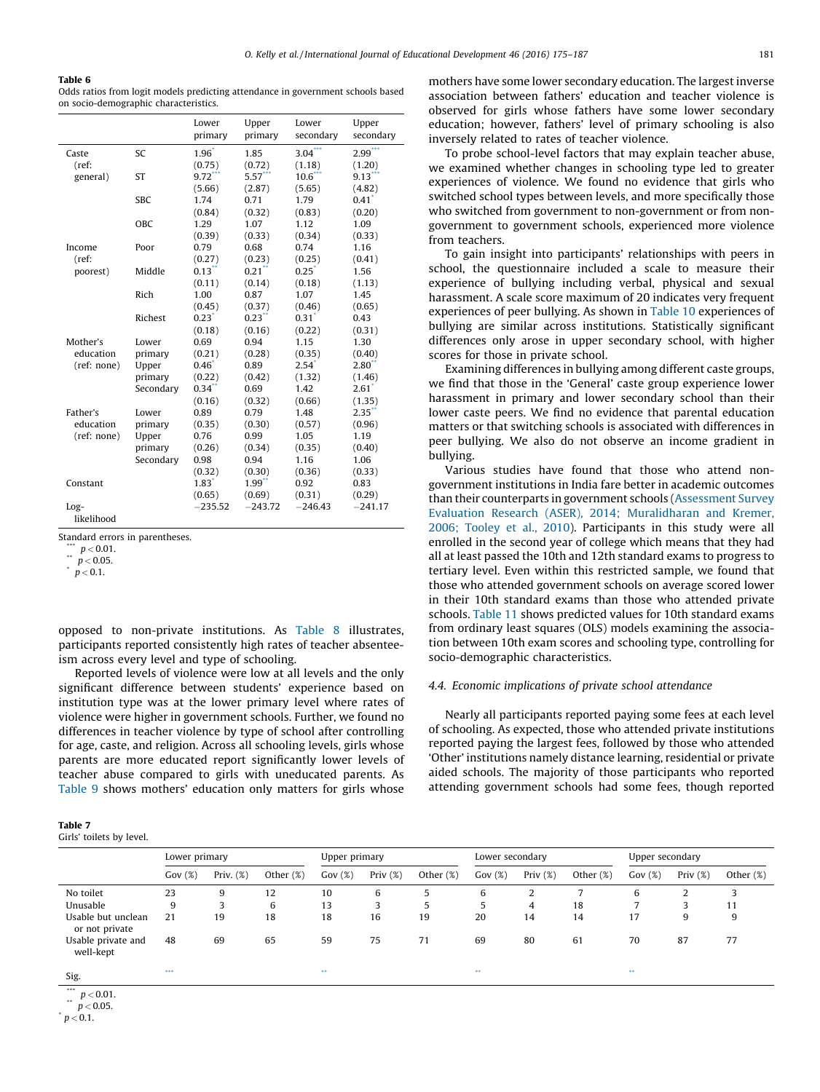Odds ratios from logit models predicting attendance in government schools based on socio-demographic characteristics.

|                      |            | Lower<br>primary     | Upper<br>primary | Lower<br>secondary  | Upper<br>secondary  |
|----------------------|------------|----------------------|------------------|---------------------|---------------------|
| Caste                | SC         | 1.96                 | 1.85             | 3.04                | 2.99                |
| (ref)                |            | (0.75)               | (0.72)           | (1.18)              | (1.20)              |
| general)             | <b>ST</b>  | 9.72                 | $5.57$ $\cdot$   | $10.6^{\degree}$    | 9.13                |
|                      |            | (5.66)               | (2.87)           | (5.65)              | (4.82)              |
|                      | <b>SBC</b> | 1.74                 | 0.71             | 1.79                | $0.41$ <sup>*</sup> |
|                      |            | (0.84)               | (0.32)           | (0.83)              | (0.20)              |
|                      | OBC        | 1.29                 | 1.07             | 1.12                | 1.09                |
|                      |            | (0.39)               | (0.33)           | (0.34)              | (0.33)              |
| Income               | Poor       | 0.79                 | 0.68             | 0.74                | 1.16                |
| (ref:                |            | (0.27)               | (0.23)           | (0.25)              | (0.41)              |
| poorest)             | Middle     | $0.13$ <sup>**</sup> | 0.21             | 0.25                | 1.56                |
|                      |            | (0.11)               | (0.14)           | (0.18)              | (1.13)              |
|                      | Rich       | 1.00                 | 0.87             | 1.07                | 1.45                |
|                      |            | (0.45)               | (0.37)           | (0.46)              | (0.65)              |
|                      | Richest    | 0.23                 | 0.23             | $0.31$ <sup>*</sup> | 0.43                |
|                      |            | (0.18)               | (0.16)           | (0.22)              | (0.31)              |
| Mother's             | Lower      | 0.69                 | 0.94             | 1.15                | 1.30                |
| education            | primary    | (0.21)               | (0.28)           | (0.35)              | (0.40)              |
| (ref: none)          | Upper      | 0.46                 | 0.89             | $2.54$ <sup>*</sup> | $2.80^{\degree}$    |
|                      | primary    | (0.22)               | (0.42)           | (1.32)              | (1.46)              |
|                      | Secondary  | 0.34                 | 0.69             | 1.42                | 2.61                |
|                      |            | (0.16)               | (0.32)           | (0.66)              | (1.35)              |
| Father's             | Lower      | 0.89                 | 0.79             | 1.48                | $2.35^{\degree}$    |
| education            | primary    | (0.35)               | (0.30)           | (0.57)              | (0.96)              |
| (ref: none)          | Upper      | 0.76                 | 0.99             | 1.05                | 1.19                |
|                      | primary    | (0.26)               | (0.34)           | (0.35)              | (0.40)              |
|                      | Secondary  | 0.98                 | 0.94             | 1.16                | 1.06                |
|                      |            | (0.32)               | (0.30)           | (0.36)              | (0.33)              |
| Constant             |            | $1.83$ <sup>*</sup>  | $1.99^{\dagger}$ | 0.92                | 0.83                |
|                      |            | (0.65)               | (0.69)           | (0.31)              | (0.29)              |
| $Log-$<br>likelihood |            | $-235.52$            | $-243.72$        | $-246.43$           | $-241.17$           |

Standard errors in parentheses.

 $p < 0.01$ .

 $p < 0.05$ .

 $p < 0.1$ .

opposed to non-private institutions. As Table 8 illustrates, participants reported consistently high rates of teacher absenteeism across every level and type of schooling.

Reported levels of violence were low at all levels and the only significant difference between students' experience based on institution type was at the lower primary level where rates of violence were higher in government schools. Further, we found no differences in teacher violence by type of school after controlling for age, caste, and religion. Across all schooling levels, girls whose parents are more educated report significantly lower levels of teacher abuse compared to girls with uneducated parents. As Table 9 shows mothers' education only matters for girls whose

| Girls' toilets by level. |  |  |  |  |  |
|--------------------------|--|--|--|--|--|
|--------------------------|--|--|--|--|--|

mothers have some lower secondary education. The largest inverse association between fathers' education and teacher violence is observed for girls whose fathers have some lower secondary education; however, fathers' level of primary schooling is also inversely related to rates of teacher violence.

To probe school-level factors that may explain teacher abuse, we examined whether changes in schooling type led to greater experiences of violence. We found no evidence that girls who switched school types between levels, and more specifically those who switched from government to non-government or from nongovernment to government schools, experienced more violence from teachers.

To gain insight into participants' relationships with peers in school, the questionnaire included a scale to measure their experience of bullying including verbal, physical and sexual harassment. A scale score maximum of 20 indicates very frequent experiences of peer bullying. As shown in Table 10 experiences of bullying are similar across institutions. Statistically significant differences only arose in upper secondary school, with higher scores for those in private school.

Examining differences in bullying among different caste groups, we find that those in the 'General' caste group experience lower harassment in primary and lower secondary school than their lower caste peers. We find no evidence that parental education matters or that switching schools is associated with differences in peer bullying. We also do not observe an income gradient in bullying.

Various studies have found that those who attend nongovernment institutions in India fare better in academic outcomes than their counterparts in government schools (Assessment Survey Evaluation Research (ASER), 2014; Muralidharan and Kremer, 2006; Tooley et al., 2010). Participants in this study were all enrolled in the second year of college which means that they had all at least passed the 10th and 12th standard exams to progress to tertiary level. Even within this restricted sample, we found that those who attended government schools on average scored lower in their 10th standard exams than those who attended private schools. Table 11 shows predicted values for 10th standard exams from ordinary least squares (OLS) models examining the association between 10th exam scores and schooling type, controlling for socio-demographic characteristics.

#### 4.4. Economic implications of private school attendance

Nearly all participants reported paying some fees at each level of schooling. As expected, those who attended private institutions reported paying the largest fees, followed by those who attended 'Other' institutions namely distance learning, residential or private aided schools. The majority of those participants who reported attending government schools had some fees, though reported

| ----- ------ -, -- --                |               |              |               |        |                 |              |        |                 |              |            |            |              |
|--------------------------------------|---------------|--------------|---------------|--------|-----------------|--------------|--------|-----------------|--------------|------------|------------|--------------|
|                                      | Lower primary |              | Upper primary |        | Lower secondary |              |        | Upper secondary |              |            |            |              |
|                                      | Gov(%)        | Priv. $(\%)$ | Other $(\%)$  | Gov(%) | Priv $(\%)$     | Other $(\%)$ | Gov(%) | Priv $(%)$      | Other $(\%)$ | Gov $(\%)$ | Priv $(%)$ | Other $(\%)$ |
| No toilet                            | 23            | 9            | 12            | 10     | 6               | 5            | 6      |                 |              | 6          |            | 3            |
| Unusable                             | 9             | 3            | 6             | 13     | 3               | 5            | 5      | 4               | 18           |            |            | 11           |
| Usable but unclean<br>or not private | 21            | 19           | 18            | 18     | 16              | 19           | 20     | 14              | 14           | 17         | 9          | 9            |
| Usable private and<br>well-kept      | 48            | 69           | 65            | 59     | 75              | 71           | 69     | 80              | 61           | 70         | 87         | 77           |
| Sig.                                 | 1999          |              |               | 44     |                 |              | 1919   |                 |              | $\bullet$  |            |              |
| $-0.0 - 0.$                          |               |              |               |        |                 |              |        |                 |              |            |            |              |

 $p < 0.01$ .

 $n < 0.05$ 

 $p$  < 0.1.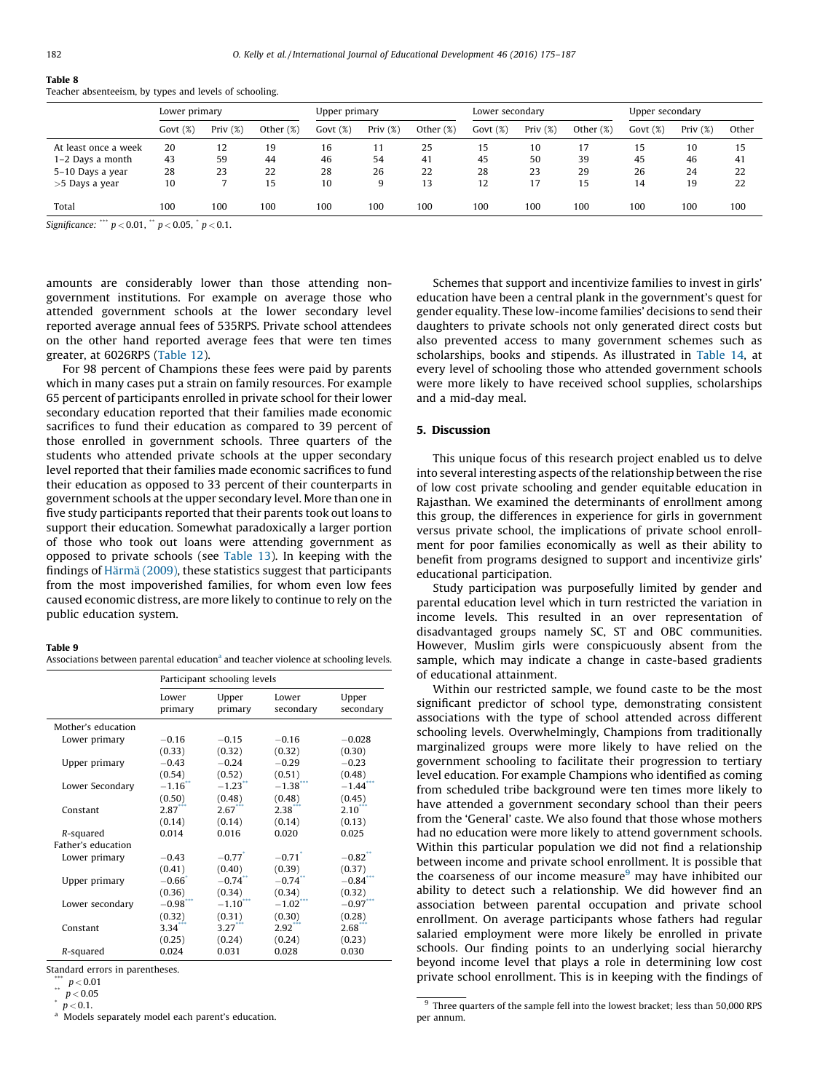|                      | Lower primary |            |              | Upper primary |             |              | Lower secondary |             |              | Upper secondary |            |       |
|----------------------|---------------|------------|--------------|---------------|-------------|--------------|-----------------|-------------|--------------|-----------------|------------|-------|
|                      | Govt $(\%)$   | Priv $(%)$ | Other $(\%)$ | Govt (%)      | Priv $(\%)$ | Other $(\%)$ | Govt (%)        | Priv $(\%)$ | Other $(\%)$ | Govt $(\%)$     | Priv $(%)$ | Other |
| At least once a week | 20            | 12         | 19           | 16            | 11          | 25           | 15              | 10          | 17           | 15              | 10         | 15    |
| 1–2 Days a month     | 43            | 59         | 44           | 46            | 54          | 41           | 45              | 50          | 39           | 45              | 46         | 41    |
| 5–10 Days a year     | 28            | 23         | 22           | 28            | 26          | 22           | 28              | 23          | 29           | 26              | 24         | 22    |
| $>5$ Days a year     | 10            |            | 15           | 10            | 9           | 13           | 12              | 17          | 15           | 14              | 19         | 22    |
| Total                | 100           | 100        | 100          | 100           | 100         | 100          | 100             | 100         | 100          | 100             | 100        | 100   |

#### Teacher absenteeism, by types and levels of schooling.

Significance: \*\*\*  $p < 0.01$ , \*\*  $p < 0.05$ , \*  $p < 0.1$ .

amounts are considerably lower than those attending nongovernment institutions. For example on average those who attended government schools at the lower secondary level reported average annual fees of 535RPS. Private school attendees on the other hand reported average fees that were ten times greater, at 6026RPS (Table 12).

For 98 percent of Champions these fees were paid by parents which in many cases put a strain on family resources. For example 65 percent of participants enrolled in private school for their lower secondary education reported that their families made economic sacrifices to fund their education as compared to 39 percent of those enrolled in government schools. Three quarters of the students who attended private schools at the upper secondary level reported that their families made economic sacrifices to fund their education as opposed to 33 percent of their counterparts in government schools at the upper secondary level. More than one in five study participants reported that their parents took out loans to support their education. Somewhat paradoxically a larger portion of those who took out loans were attending government as opposed to private schools (see Table 13). In keeping with the findings of Härmä (2009), these statistics suggest that participants from the most impoverished families, for whom even low fees caused economic distress, are more likely to continue to rely on the public education system.

#### Table 9

Associations between parental education<sup>a</sup> and teacher violence at schooling levels.

|                           |                      | Participant schooling levels |                      |                       |
|---------------------------|----------------------|------------------------------|----------------------|-----------------------|
|                           | Lower<br>primary     | Upper<br>primary             | Lower<br>secondary   | Upper<br>secondary    |
| Mother's education        |                      |                              |                      |                       |
| Lower primary             | $-0.16$              | $-0.15$                      | $-0.16$              | $-0.028$              |
|                           | (0.33)               | (0.32)                       | (0.32)               | (0.30)                |
| Upper primary             | $-0.43$              | $-0.24$                      | $-0.29$              | $-0.23$               |
|                           | (0.54)               | (0.52)                       | (0.51)               | (0.48)                |
| Lower Secondary           | $-1.16$              | $-1.23$                      | $-1.38$ <sup>*</sup> | $-1.44$               |
|                           | (0.50)               | (0.48)                       | (0.48)               | (0.45)                |
| Constant                  | 2.87                 | 2.67                         | 2.38                 | $2.10^{-}$            |
|                           | (0.14)               | (0.14)                       | (0.14)               | (0.13)                |
| R-squared                 | 0.014                | 0.016                        | 0.020                | 0.025                 |
| <b>Father's education</b> |                      |                              |                      |                       |
| Lower primary             | $-0.43$              | $-0.77$ <sup>*</sup>         | $-0.71$ <sup>*</sup> | $-0.82$ <sup>**</sup> |
|                           | (0.41)               | (0.40)                       | (0.39)               | (0.37)                |
| Upper primary             | $-0.66$ <sup>*</sup> | $-0.74$                      | $-0.74$ <sup>*</sup> | $-0.84$               |
|                           | (0.36)               | (0.34)                       | (0.34)               | (0.32)                |
| Lower secondary           | $-0.98$              | $-1.10$                      | $-1.02$              | $-0.97$               |
|                           | (0.32)               | (0.31)                       | (0.30)               | (0.28)                |
| Constant                  | 3.34                 | $3.27$ <sup>**</sup>         | $2.92$ <sup>*</sup>  | 2.68                  |
|                           | (0.25)               | (0.24)                       | (0.24)               | (0.23)                |
| R-squared                 | 0.024                | 0.031                        | 0.028                | 0.030                 |

Standard errors in parentheses.

 $\sum_{n=1}^{100} p < 0.01$ 

 $p < 0.05$ 

 $p < 0.1$ .

<sup>a</sup> Models separately model each parent's education.

Schemes that support and incentivize families to invest in girls' education have been a central plank in the government's quest for gender equality. These low-income families' decisions to send their daughters to private schools not only generated direct costs but also prevented access to many government schemes such as scholarships, books and stipends. As illustrated in Table 14, at every level of schooling those who attended government schools were more likely to have received school supplies, scholarships and a mid-day meal.

# 5. Discussion

This unique focus of this research project enabled us to delve into several interesting aspects of the relationship between the rise of low cost private schooling and gender equitable education in Rajasthan. We examined the determinants of enrollment among this group, the differences in experience for girls in government versus private school, the implications of private school enrollment for poor families economically as well as their ability to benefit from programs designed to support and incentivize girls' educational participation.

Study participation was purposefully limited by gender and parental education level which in turn restricted the variation in income levels. This resulted in an over representation of disadvantaged groups namely SC, ST and OBC communities. However, Muslim girls were conspicuously absent from the sample, which may indicate a change in caste-based gradients of educational attainment.

Within our restricted sample, we found caste to be the most significant predictor of school type, demonstrating consistent associations with the type of school attended across different schooling levels. Overwhelmingly, Champions from traditionally marginalized groups were more likely to have relied on the government schooling to facilitate their progression to tertiary level education. For example Champions who identified as coming from scheduled tribe background were ten times more likely to have attended a government secondary school than their peers from the 'General' caste. We also found that those whose mothers had no education were more likely to attend government schools. Within this particular population we did not find a relationship between income and private school enrollment. It is possible that the coarseness of our income measure<sup>9</sup> may have inhibited our ability to detect such a relationship. We did however find an association between parental occupation and private school enrollment. On average participants whose fathers had regular salaried employment were more likely be enrolled in private schools. Our finding points to an underlying social hierarchy beyond income level that plays a role in determining low cost private school enrollment. This is in keeping with the findings of

Table 8

 $9$  Three quarters of the sample fell into the lowest bracket; less than 50,000 RPS per annum.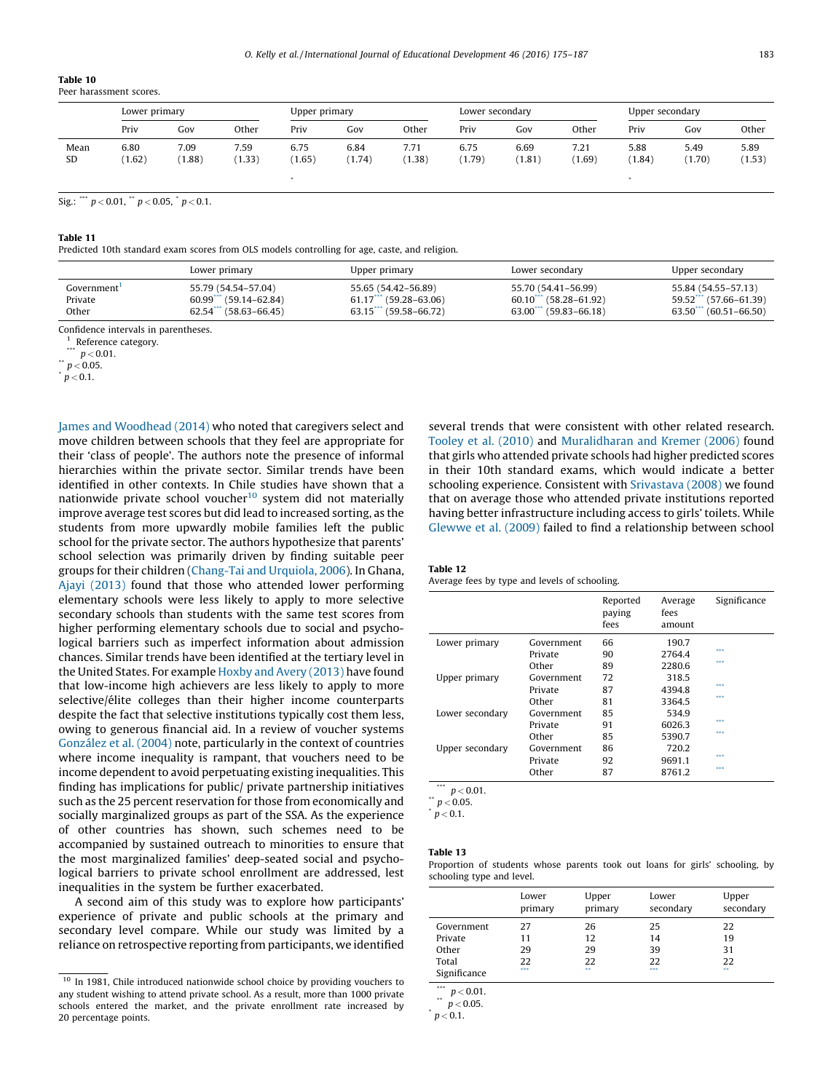Peer harassment scores.

|                   | Lower primary |               |                | Upper primary  |                |               | Lower secondary |                |                | Upper secondary |                |                |
|-------------------|---------------|---------------|----------------|----------------|----------------|---------------|-----------------|----------------|----------------|-----------------|----------------|----------------|
|                   | Priv          | Gov           | Other          | Priv           | Gov            | Other         | Priv            | Gov            | Other          | Priv            | Gov            | Other          |
| Mean<br><b>SD</b> | 6.80<br>1.62) | 7.09<br>1.88) | 7.59<br>(1.33) | 6.75<br>(1.65) | 6.84<br>(1.74) | 7.71<br>1.38) | 6.75<br>1.79)   | 6.69<br>(1.81) | 7.21<br>(1.69) | 5.88<br>(1.84)  | 5.49<br>(1.70) | 5.89<br>(1.53) |
|                   |               |               |                | <b>A</b>       |                |               |                 |                |                |                 |                |                |

Sig.: \*\*\*  $p < 0.01$ , \*\*  $p < 0.05$ , \*  $p < 0.1$ .

Table 11

Predicted 10th standard exam scores from OLS models controlling for age, caste, and religion.

|             | Lower primary             | Upper primary         | Lower secondary           | Upper secondary       |
|-------------|---------------------------|-----------------------|---------------------------|-----------------------|
| Government' | 55.79 (54.54-57.04)       | 55.65 (54.42–56.89)   | 55.70 (54.41–56.99)       | 55.84 (54.55–57.13)   |
| Private     | $60.99$ (59.14-62.84)     | $61.17$ (59.28-63.06) | $60.10$ $(58.28 - 61.92)$ | $59.52$ (57.66-61.39) |
| Other       | $62.54$ $(58.63 - 66.45)$ | $63.15$ (59.58-66.72) | $63.00$ (59.83-66.18)     | $63.50$ (60.51-66.50) |

Confidence intervals in parentheses.

 $\frac{1}{1}$  Reference category.

 $p < 0.01$ .

 $p < 0.05$ .

 $p < 0.1$ .

James and Woodhead (2014) who noted that caregivers select and move children between schools that they feel are appropriate for their 'class of people'. The authors note the presence of informal hierarchies within the private sector. Similar trends have been identified in other contexts. In Chile studies have shown that a nationwide private school voucher $10$  system did not materially improve average test scores but did lead to increased sorting, as the students from more upwardly mobile families left the public school for the private sector. The authors hypothesize that parents' school selection was primarily driven by finding suitable peer groups for their children (Chang-Tai and Urquiola, 2006). In Ghana, Ajayi (2013) found that those who attended lower performing elementary schools were less likely to apply to more selective secondary schools than students with the same test scores from higher performing elementary schools due to social and psychological barriers such as imperfect information about admission chances. Similar trends have been identified at the tertiary level in the United States. For example Hoxby and Avery (2013) have found that low-income high achievers are less likely to apply to more selective/élite colleges than their higher income counterparts despite the fact that selective institutions typically cost them less, owing to generous financial aid. In a review of voucher systems González et al. (2004) note, particularly in the context of countries where income inequality is rampant, that vouchers need to be income dependent to avoid perpetuating existing inequalities. This finding has implications for public/ private partnership initiatives such as the 25 percent reservation for those from economically and socially marginalized groups as part of the SSA. As the experience of other countries has shown, such schemes need to be accompanied by sustained outreach to minorities to ensure that the most marginalized families' deep-seated social and psychological barriers to private school enrollment are addressed, lest inequalities in the system be further exacerbated.

A second aim of this study was to explore how participants' experience of private and public schools at the primary and secondary level compare. While our study was limited by a reliance on retrospective reporting from participants, we identified several trends that were consistent with other related research. Tooley et al. (2010) and Muralidharan and Kremer (2006) found that girls who attended private schools had higher predicted scores in their 10th standard exams, which would indicate a better schooling experience. Consistent with Srivastava (2008) we found that on average those who attended private institutions reported having better infrastructure including access to girls' toilets. While Glewwe et al. (2009) failed to find a relationship between school

#### Table 12

Average fees by type and levels of schooling.

|                 |            | Reported<br>paying<br>fees | Average<br>fees<br>amount | Significance |
|-----------------|------------|----------------------------|---------------------------|--------------|
| Lower primary   | Government | 66                         | 190.7                     |              |
|                 | Private    | 90                         | 2764.4                    | 666          |
|                 | Other      | 89                         | 2280.6                    | 666          |
| Upper primary   | Government | 72                         | 318.5                     |              |
|                 | Private    | 87                         | 4394.8                    | 666          |
|                 | Other      | 81                         | 3364.5                    | ***          |
| Lower secondary | Government | 85                         | 534.9                     |              |
|                 | Private    | 91                         | 6026.3                    | 666          |
|                 | Other      | 85                         | 5390.7                    | 666          |
| Upper secondary | Government | 86                         | 720.2                     |              |
|                 | Private    | 92                         | 9691.1                    | 666          |
|                 | Other      | 87                         | 8761.2                    | 666          |

\*\*\*  $p < 0.01$ .

 $p < 0.05$ 

 $p < 0.1$ .

# Table 13

Proportion of students whose parents took out loans for girls' schooling, by schooling type and level.

|              | Lower<br>primary | Upper<br>primary | Lower<br>secondary | Upper<br>secondary |
|--------------|------------------|------------------|--------------------|--------------------|
| Government   | 27               | 26               | 25                 | 22                 |
| Private      | 11               | 12               | 14                 | 19                 |
| Other        | 29               | 29               | 39                 | 31                 |
| Total        | 22<br>444        | 22<br>44         | 22<br>646          | 22<br>44           |
| Significance |                  |                  |                    |                    |

 $p < 0.01$ .

\*\*  $p < 0.05$ .

 $p < 0.1$ .

 $10$  In 1981, Chile introduced nationwide school choice by providing vouchers to any student wishing to attend private school. As a result, more than 1000 private schools entered the market, and the private enrollment rate increased by 20 percentage points.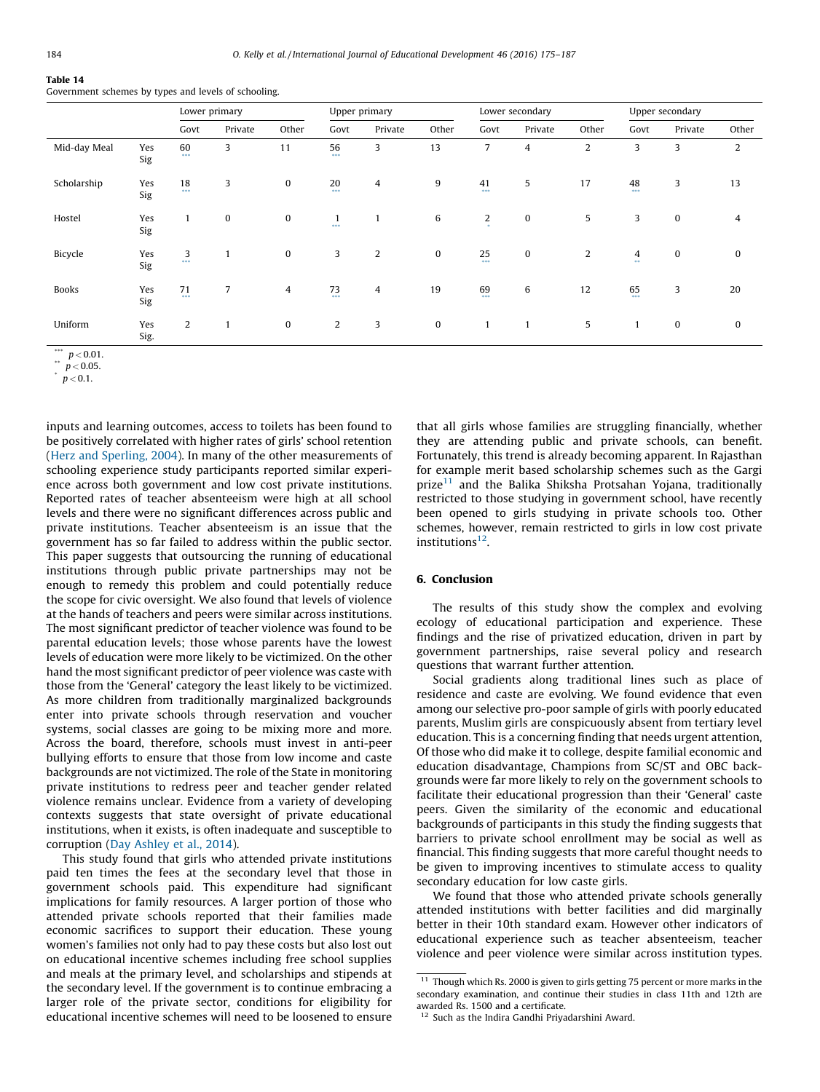|              |             |                 | Lower primary  |                | Upper primary            |                | Lower secondary |                |                         | Upper secondary |                     |                  |          |
|--------------|-------------|-----------------|----------------|----------------|--------------------------|----------------|-----------------|----------------|-------------------------|-----------------|---------------------|------------------|----------|
|              |             | Govt            | Private        | Other          | Govt                     | Private        | Other           | Govt           | Private                 | Other           | Govt                | Private          | Other    |
| Mid-day Meal | Yes<br>Sig  | 60<br>$\sim$    | 3              | 11             | 56<br>$\sim$             | 3              | 13              | $\overline{7}$ | $\overline{\mathbf{4}}$ | 2               | 3                   | 3                | 2        |
| Scholarship  | Yes<br>Sig  | $\frac{18}{11}$ | 3              | $\bf{0}$       | $\overline{.0}$          | 4              | 9               | 41<br>1.14     | 5                       | 17              | $\frac{48}{\cdots}$ | 3                | 13       |
| Hostel       | Yes<br>Sig  | $\mathbf{1}$    | $\bf{0}$       | $\bf{0}$       | $\mathbf{1}$<br>$\cdots$ | 1              | 6               | $\frac{2}{1}$  | $\bf{0}$                | 5               | 3                   | $\bf{0}$         | 4        |
| Bicycle      | Yes<br>Sig  | 3<br>1.14       |                | $\bf{0}$       | 3                        | $\overline{2}$ | $\bf{0}$        | 25<br>1.14     | $\bf{0}$                | 2               | 4<br>44             | $\boldsymbol{0}$ | $\bf{0}$ |
| <b>Books</b> | Yes<br>Sig  | 71<br>1.14      | $\overline{7}$ | $\overline{4}$ | 73<br>$\cdots$           | $\overline{4}$ | 19              | 69<br>1.14     | 6                       | 12              | 65<br>1.14          | 3                | 20       |
| Uniform      | Yes<br>Sig. | 2               |                | $\bf{0}$       | 2                        | 3              | $\bf{0}$        | 1              | $\mathbf{1}$            | 5               | 1                   | 0                | $\bf{0}$ |

| $\cdots$                                             |  |  |  |  |
|------------------------------------------------------|--|--|--|--|
| Government schemes by types and levels of schooling. |  |  |  |  |

 $p < 0.01$ .

inputs and learning outcomes, access to toilets has been found to be positively correlated with higher rates of girls' school retention (Herz and Sperling, 2004). In many of the other measurements of schooling experience study participants reported similar experience across both government and low cost private institutions. Reported rates of teacher absenteeism were high at all school levels and there were no significant differences across public and private institutions. Teacher absenteeism is an issue that the government has so far failed to address within the public sector. This paper suggests that outsourcing the running of educational institutions through public private partnerships may not be enough to remedy this problem and could potentially reduce the scope for civic oversight. We also found that levels of violence at the hands of teachers and peers were similar across institutions. The most significant predictor of teacher violence was found to be parental education levels; those whose parents have the lowest levels of education were more likely to be victimized. On the other hand the most significant predictor of peer violence was caste with those from the 'General' category the least likely to be victimized. As more children from traditionally marginalized backgrounds enter into private schools through reservation and voucher systems, social classes are going to be mixing more and more. Across the board, therefore, schools must invest in anti-peer bullying efforts to ensure that those from low income and caste backgrounds are not victimized. The role of the State in monitoring private institutions to redress peer and teacher gender related violence remains unclear. Evidence from a variety of developing contexts suggests that state oversight of private educational institutions, when it exists, is often inadequate and susceptible to corruption (Day Ashley et al., 2014).

This study found that girls who attended private institutions paid ten times the fees at the secondary level that those in government schools paid. This expenditure had significant implications for family resources. A larger portion of those who attended private schools reported that their families made economic sacrifices to support their education. These young women's families not only had to pay these costs but also lost out on educational incentive schemes including free school supplies and meals at the primary level, and scholarships and stipends at the secondary level. If the government is to continue embracing a larger role of the private sector, conditions for eligibility for educational incentive schemes will need to be loosened to ensure

that all girls whose families are struggling financially, whether they are attending public and private schools, can benefit. Fortunately, this trend is already becoming apparent. In Rajasthan for example merit based scholarship schemes such as the Gargi prize<sup>11</sup> and the Balika Shiksha Protsahan Yojana, traditionally restricted to those studying in government school, have recently been opened to girls studying in private schools too. Other schemes, however, remain restricted to girls in low cost private institutions $12$ .

# 6. Conclusion

The results of this study show the complex and evolving ecology of educational participation and experience. These findings and the rise of privatized education, driven in part by government partnerships, raise several policy and research questions that warrant further attention.

Social gradients along traditional lines such as place of residence and caste are evolving. We found evidence that even among our selective pro-poor sample of girls with poorly educated parents, Muslim girls are conspicuously absent from tertiary level education. This is a concerning finding that needs urgent attention, Of those who did make it to college, despite familial economic and education disadvantage, Champions from SC/ST and OBC backgrounds were far more likely to rely on the government schools to facilitate their educational progression than their 'General' caste peers. Given the similarity of the economic and educational backgrounds of participants in this study the finding suggests that barriers to private school enrollment may be social as well as financial. This finding suggests that more careful thought needs to be given to improving incentives to stimulate access to quality secondary education for low caste girls.

We found that those who attended private schools generally attended institutions with better facilities and did marginally better in their 10th standard exam. However other indicators of educational experience such as teacher absenteeism, teacher violence and peer violence were similar across institution types.

 $p < 0.05$ .

 $n < 0.1$ .

 $11$  Though which Rs. 2000 is given to girls getting 75 percent or more marks in the secondary examination, and continue their studies in class 11th and 12th are awarded Rs. 1500 and a certificate.

<sup>&</sup>lt;sup>12</sup> Such as the Indira Gandhi Priyadarshini Award.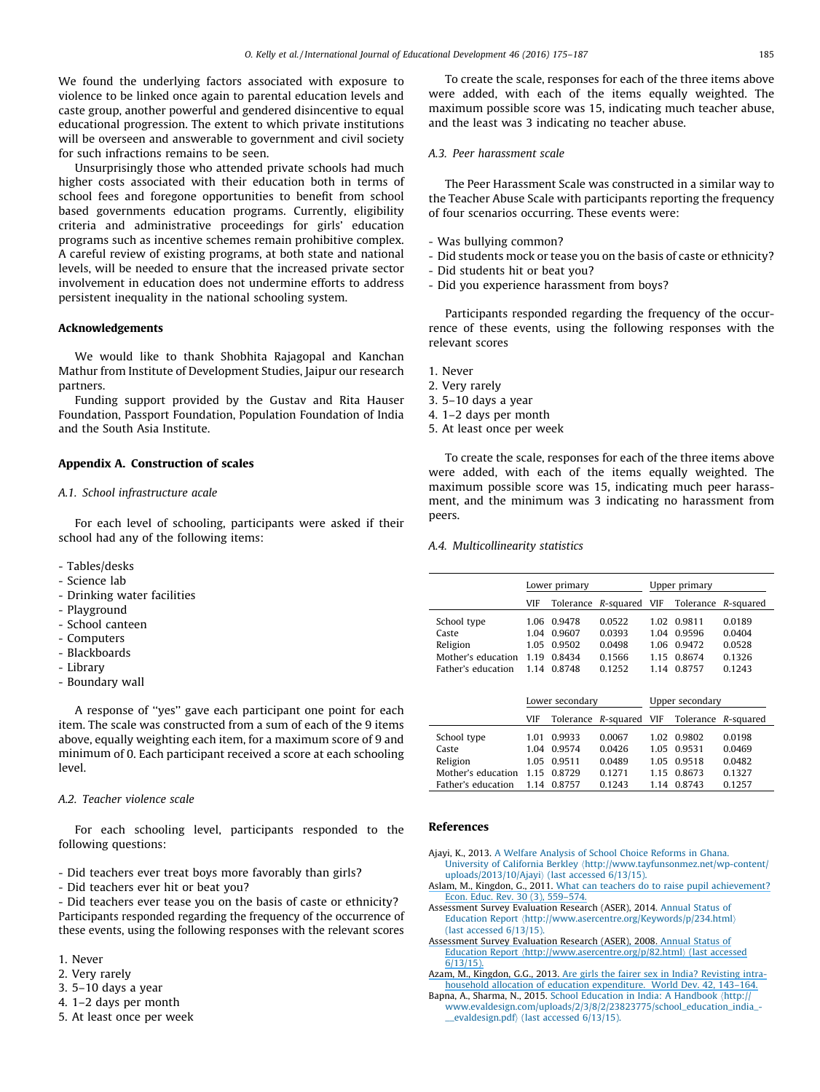We found the underlying factors associated with exposure to violence to be linked once again to parental education levels and caste group, another powerful and gendered disincentive to equal educational progression. The extent to which private institutions will be overseen and answerable to government and civil society for such infractions remains to be seen.

Unsurprisingly those who attended private schools had much higher costs associated with their education both in terms of school fees and foregone opportunities to benefit from school based governments education programs. Currently, eligibility criteria and administrative proceedings for girls' education programs such as incentive schemes remain prohibitive complex. A careful review of existing programs, at both state and national levels, will be needed to ensure that the increased private sector involvement in education does not undermine efforts to address persistent inequality in the national schooling system.

### Acknowledgements

We would like to thank Shobhita Rajagopal and Kanchan Mathur from Institute of Development Studies, Jaipur our research partners.

Funding support provided by the Gustav and Rita Hauser Foundation, Passport Foundation, Population Foundation of India and the South Asia Institute.

### Appendix A. Construction of scales

# A.1. School infrastructure acale

For each level of schooling, participants were asked if their school had any of the following items:

- Tables/desks
- Science lab
- Drinking water facilities
- Playground
- School canteen
- Computers
- Blackboards
- Library
- Boundary wall

A response of ''yes'' gave each participant one point for each item. The scale was constructed from a sum of each of the 9 items above, equally weighting each item, for a maximum score of 9 and minimum of 0. Each participant received a score at each schooling level.

# A.2. Teacher violence scale

For each schooling level, participants responded to the following questions:

- Did teachers ever treat boys more favorably than girls?
- Did teachers ever hit or beat you?

- Did teachers ever tease you on the basis of caste or ethnicity? Participants responded regarding the frequency of the occurrence of these events, using the following responses with the relevant scores

- 1. Never
- 2. Very rarely
- 3. 5–10 days a year
- 4. 1–2 days per month
- 5. At least once per week

To create the scale, responses for each of the three items above were added, with each of the items equally weighted. The maximum possible score was 15, indicating much teacher abuse, and the least was 3 indicating no teacher abuse.

# A.3. Peer harassment scale

The Peer Harassment Scale was constructed in a similar way to the Teacher Abuse Scale with participants reporting the frequency of four scenarios occurring. These events were:

- Was bullying common?
- Did students mock or tease you on the basis of caste or ethnicity?
- Did students hit or beat you?
- Did you experience harassment from boys?

Participants responded regarding the frequency of the occurrence of these events, using the following responses with the relevant scores

- 1. Never
- 2. Very rarely
- 3. 5–10 days a year
- 4. 1–2 days per month
- 5. At least once per week

To create the scale, responses for each of the three items above were added, with each of the items equally weighted. The maximum possible score was 15, indicating much peer harassment, and the minimum was 3 indicating no harassment from peers.

#### A.4. Multicollinearity statistics

|                                                                              |                              | Lower primary                                          |                                                | Upper primary          |                                                             |                                                |  |
|------------------------------------------------------------------------------|------------------------------|--------------------------------------------------------|------------------------------------------------|------------------------|-------------------------------------------------------------|------------------------------------------------|--|
|                                                                              | VIF                          |                                                        | Tolerance R-squared VIF Tolerance R-squared    |                        |                                                             |                                                |  |
| School type<br>Caste<br>Religion<br>Mother's education<br>Father's education | 1.06<br>1.04<br>1.05<br>1.19 | 0.9478<br>0.9607<br>0.9502<br>0.8434<br>1 14 0 8 7 4 8 | 0.0522<br>0.0393<br>0.0498<br>0.1566<br>0.1252 | 1.02.<br>1 04<br>1.06. | 0.9811<br>0.9596<br>0.9472<br>1.15 0.8674<br>1 14 0 8 7 5 7 | 0.0189<br>0.0404<br>0.0528<br>0.1326<br>0.1243 |  |

|                                |      | Lower secondary |                                             | Upper secondary |           |        |  |
|--------------------------------|------|-----------------|---------------------------------------------|-----------------|-----------|--------|--|
|                                | VIF  |                 | Tolerance R-squared VIF Tolerance R-squared |                 |           |        |  |
| School type                    | 1 01 | 0.9933          | 0.0067                                      | 1.02.           | 0.9802    | 0.0198 |  |
| Caste                          | 1 04 | 0.9574          | 0.0426                                      | 1.05            | 09531     | 0.0469 |  |
| Religion                       |      | 1.05 0.9511     | 0.0489                                      |                 | 105 09518 | 0.0482 |  |
| Mother's education 1.15 0.8729 |      |                 | 0.1271                                      | 1 1 5           | 0.8673    | 0.1327 |  |
| Father's education             |      | 1 14 0 8 7 5 7  | 0.1243                                      | 1 1 4           | 0.8743    | 0.1257 |  |

#### References

Ajayi, K., 2013. A Welfare [Analysis](http://refhub.elsevier.com/S0738-0593(15)00126-1/sbref0005) of School Choice Reforms in Ghana. [University](http://refhub.elsevier.com/S0738-0593(15)00126-1/sbref0005) of California Berkley ([http://www.tayfunsonmez.net/wp-content/](http://refhub.elsevier.com/S0738-0593(15)00126-1/sbref0005) [uploads/2013/10/Ajayi](http://refhub.elsevier.com/S0738-0593(15)00126-1/sbref0005) $\rangle$  (last accessed [6/13/15\).](http://refhub.elsevier.com/S0738-0593(15)00126-1/sbref0005)

- Aslam, M., Kingdon, G., 2011. What can teachers do to raise pupil [achievement?](http://refhub.elsevier.com/S0738-0593(15)00126-1/sbref0010) Econ. Educ. Rev. 30 (3), [559–574](http://refhub.elsevier.com/S0738-0593(15)00126-1/sbref0010)[.](https://www.researchgate.net/publication/226647300_What_Can_Teachers_Do_to_Raise_Pupil_Achievement?el=1_x_8&enrichId=rgreq-54c47620-2f40-48f7-a469-15a8295bb901&enrichSource=Y292ZXJQYWdlOzI4NzUwODA5MTtBUzozMTc0NzEzOTM4MTI0ODBAMTQ1MjcwMjQ4NjI1Mg==)
- Assessment Survey Evaluation Research (ASER), 2014. [Annual](http://refhub.elsevier.com/S0738-0593(15)00126-1/sbref0015) Status of [Education](http://refhub.elsevier.com/S0738-0593(15)00126-1/sbref0015) Report  $\langle http://www.asercentre.org/Keywords/p/234.html\rangle$  $\langle http://www.asercentre.org/Keywords/p/234.html\rangle$  $\langle http://www.asercentre.org/Keywords/p/234.html\rangle$ (last [accessed](http://refhub.elsevier.com/S0738-0593(15)00126-1/sbref0015) 6/13/15).
- [Assessment](https://www.researchgate.net/publication/273499935_The_annual_status_of_education_report_ASER?el=1_x_8&enrichId=rgreq-54c47620-2f40-48f7-a469-15a8295bb901&enrichSource=Y292ZXJQYWdlOzI4NzUwODA5MTtBUzozMTc0NzEzOTM4MTI0ODBAMTQ1MjcwMjQ4NjI1Mg==) Survey Evaluation Research (ASER), 2008. [Annual](http://refhub.elsevier.com/S0738-0593(15)00126-1/sbref0025) Status of [Education](http://refhub.elsevier.com/S0738-0593(15)00126-1/sbref0025) Report ([http://www.asercentre.org/p/82.html](http://refhub.elsevier.com/S0738-0593(15)00126-1/sbref0025)) (last [accessed](http://refhub.elsevier.com/S0738-0593(15)00126-1/sbref0025) [6/13/15\)](http://refhub.elsevier.com/S0738-0593(15)00126-1/sbref0025)[.](https://www.researchgate.net/publication/273499935_The_annual_status_of_education_report_ASER?el=1_x_8&enrichId=rgreq-54c47620-2f40-48f7-a469-15a8295bb901&enrichSource=Y292ZXJQYWdlOzI4NzUwODA5MTtBUzozMTc0NzEzOTM4MTI0ODBAMTQ1MjcwMjQ4NjI1Mg==)

Azam, M., Kingdon, G.G., 2013. Are girls the fairer sex in India? [Revisting](http://refhub.elsevier.com/S0738-0593(15)00126-1/sbref0030) intrahousehold allocation of education [expenditure.](http://refhub.elsevier.com/S0738-0593(15)00126-1/sbref0030) World Dev. 42, 143–164.

Bapna, A., Sharma, N., 2015. School Education in India: A [Handbook](http://refhub.elsevier.com/S0738-0593(15)00126-1/sbref0035) ([http://](http://refhub.elsevier.com/S0738-0593(15)00126-1/sbref0035) [www.evaldesign.com/uploads/2/3/8/2/23823775/school\\_education\\_india\\_-](http://refhub.elsevier.com/S0738-0593(15)00126-1/sbref0035)  $\_\text{evaldesign.pdf}$  (last accessed [6/13/15\).](http://refhub.elsevier.com/S0738-0593(15)00126-1/sbref0035)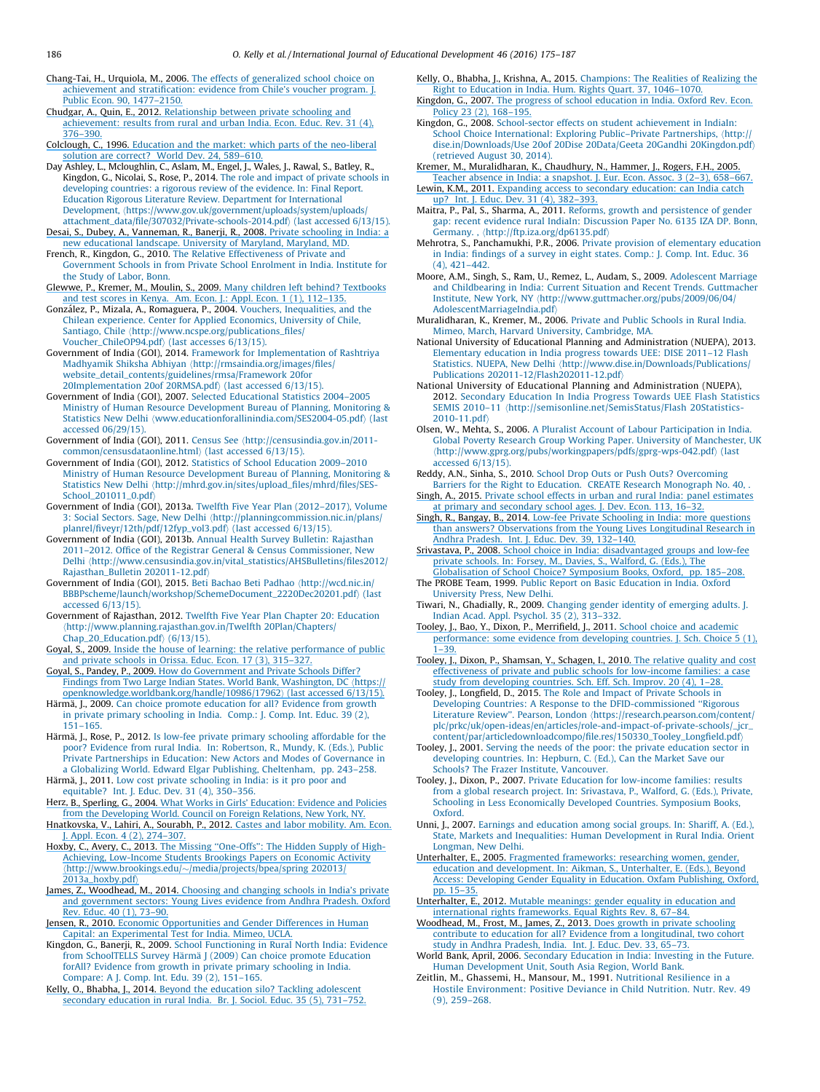Chang-Tai, H., Urquiola, M., 2006. The effects of [generalized](http://refhub.elsevier.com/S0738-0593(15)00126-1/sbref0040) school choice on achievement and [stratification:](http://refhub.elsevier.com/S0738-0593(15)00126-1/sbref0040) evidence from Chile's voucher program. J. Public Econ. 90, [1477–2150](http://refhub.elsevier.com/S0738-0593(15)00126-1/sbref0040)[.](https://www.researchgate.net/publication/222432582_The_Effects_of_Generalized_School_Choice_on_Achievement_and_Stratification_Evidence_from_Chile)

Chudgar, A., Quin, E., 2012. [Relationship](http://refhub.elsevier.com/S0738-0593(15)00126-1/sbref0045) between private schooling and [achievement:](http://refhub.elsevier.com/S0738-0593(15)00126-1/sbref0045) results from rural and urban India. Econ. Educ. Rev. 31 (4), [376–390](http://refhub.elsevier.com/S0738-0593(15)00126-1/sbref0045)[.](https://www.researchgate.net/publication/257106001_Relationship_between_private_schooling_and_achievement_Results_from_rural_and_urban_India?el=1_x_8&enrichId=rgreq-54c47620-2f40-48f7-a469-15a8295bb901&enrichSource=Y292ZXJQYWdlOzI4NzUwODA5MTtBUzozMTc0NzEzOTM4MTI0ODBAMTQ1MjcwMjQ4NjI1Mg==)

Colclough, C., 1996. Education and the market: which parts of the [neo-liberal](http://refhub.elsevier.com/S0738-0593(15)00126-1/sbref0050) solution are correct? World Dev. 24, [589–610](http://refhub.elsevier.com/S0738-0593(15)00126-1/sbref0050)[.](https://www.researchgate.net/publication/24140087_Education_and_the_Market_Which_Parts_of_the_Neo-Liberal_Solution_Are_Correct?el=1_x_8&enrichId=rgreq-54c47620-2f40-48f7-a469-15a8295bb901&enrichSource=Y292ZXJQYWdlOzI4NzUwODA5MTtBUzozMTc0NzEzOTM4MTI0ODBAMTQ1MjcwMjQ4NjI1Mg==)

Day Ashley, L., Mcloughlin, C., Aslam, M., Engel, J., Wales, J., Rawal, S., Batley, R., Kingdon, G., Nicolai, S., Rose, P., 2014. The role and impact of private [schools](http://refhub.elsevier.com/S0738-0593(15)00126-1/sbref0055) in [developing](http://refhub.elsevier.com/S0738-0593(15)00126-1/sbref0055) countries: a rigorous review of the evidence. In: Final Report. Education Rigorous Literature Review. Department for [International](http://refhub.elsevier.com/S0738-0593(15)00126-1/sbref0055) [Development,](http://refhub.elsevier.com/S0738-0593(15)00126-1/sbref0055) h[https://www.gov.uk/government/uploads/system/uploads/](http://refhub.elsevier.com/S0738-0593(15)00126-1/sbref0055) [attachment\\_data/file/307032/Private-schools-2014.pdf](http://refhub.elsevier.com/S0738-0593(15)00126-1/sbref0055)) (last [accessed](http://refhub.elsevier.com/S0738-0593(15)00126-1/sbref0055) 6/13/15).

Desai, S., Dubey, A., [Vanneman,](https://www.researchgate.net/publication/227370340_Private_Schooling_in_India_A_New_Educational_Landscape?el=1_x_8&enrichId=rgreq-54c47620-2f40-48f7-a469-15a8295bb901&enrichSource=Y292ZXJQYWdlOzI4NzUwODA5MTtBUzozMTc0NzEzOTM4MTI0ODBAMTQ1MjcwMjQ4NjI1Mg==) R., Banerji, R., 2008. Private [schooling](http://refhub.elsevier.com/S0738-0593(15)00126-1/sbref0060) in India: a new [educational](http://refhub.elsevier.com/S0738-0593(15)00126-1/sbref0060) landscape. University of Maryland, Maryland, MD. French, R., Kingdon, G., 2010. The Relative [Effectiveness](http://refhub.elsevier.com/S0738-0593(15)00126-1/sbref0065) of Private and

[Government](http://refhub.elsevier.com/S0738-0593(15)00126-1/sbref0065) Schools in from Private School Enrolment in India. Institute for the Study of [Labor,](http://refhub.elsevier.com/S0738-0593(15)00126-1/sbref0065) Bonn.

Glewwe, P., Kremer, M., Moulin, S., 2009. Many children left behind? [Textbooks](https://www.researchgate.net/publication/23771901_Many_Children_Left_Behind_Textbooks_and_Test_Scores_in_Kenya?el=1_x_8&enrichId=rgreq-54c47620-2f40-48f7-a469-15a8295bb901&enrichSource=Y292ZXJQYWdlOzI4NzUwODA5MTtBUzozMTc0NzEzOTM4MTI0ODBAMTQ1MjcwMjQ4NjI1Mg==) and test scores in Kenya. Am. Econ. J.: Appl. Econ. 1 (1), [112–135.](https://www.researchgate.net/publication/23771901_Many_Children_Left_Behind_Textbooks_and_Test_Scores_in_Kenya?el=1_x_8&enrichId=rgreq-54c47620-2f40-48f7-a469-15a8295bb901&enrichSource=Y292ZXJQYWdlOzI4NzUwODA5MTtBUzozMTc0NzEzOTM4MTI0ODBAMTQ1MjcwMjQ4NjI1Mg==)

González, P., Mizala, A., Romaguera, P., 2004. Vouchers, [Inequalities,](http://refhub.elsevier.com/S0738-0593(15)00126-1/sbref0075) and the Chilean [experience.](http://refhub.elsevier.com/S0738-0593(15)00126-1/sbref0075) Center for Applied Economics, University of Chile, [Santiago,](http://refhub.elsevier.com/S0738-0593(15)00126-1/sbref0075) Chile ([http://www.ncspe.org/publications\\_files/](http://refhub.elsevier.com/S0738-0593(15)00126-1/sbref0075) [Voucher\\_ChileOP94.pdf](http://refhub.elsevier.com/S0738-0593(15)00126-1/sbref0075)<sub>)</sub> (last accesses [6/13/15\)](http://refhub.elsevier.com/S0738-0593(15)00126-1/sbref0075).

Government of India (GOI), 2014. Framework for [Implementation](http://refhub.elsevier.com/S0738-0593(15)00126-1/sbref0080) of Rashtriya [Madhyamik](http://refhub.elsevier.com/S0738-0593(15)00126-1/sbref0080) Shiksha Abhiyan ([http://rmsaindia.org/images/files/](http://refhub.elsevier.com/S0738-0593(15)00126-1/sbref0080) [website\\_detail\\_contents/guidelines/rmsa/Framework](http://refhub.elsevier.com/S0738-0593(15)00126-1/sbref0080) 20for [20Implementation](http://refhub.elsevier.com/S0738-0593(15)00126-1/sbref0080) 20of 20RMSA.pdf) (last accessed  $6/13/15$ )

Government of India (GOI), 2007. Selected [Educational](http://refhub.elsevier.com/S0738-0593(15)00126-1/sbref0085) Statistics 2004–2005 Ministry of Human Resource [Development](http://refhub.elsevier.com/S0738-0593(15)00126-1/sbref0085) Bureau of Planning, Monitoring & [Statistics](http://refhub.elsevier.com/S0738-0593(15)00126-1/sbref0085) New Delhi ([www.educationforallinindia.com/SES2004-05.pdf](http://refhub.elsevier.com/S0738-0593(15)00126-1/sbref0085)) [\(last](http://refhub.elsevier.com/S0738-0593(15)00126-1/sbref0085) accessed [06/29/15\).](http://refhub.elsevier.com/S0738-0593(15)00126-1/sbref0085)

Government of India (GOI), 2011. [Census](http://refhub.elsevier.com/S0738-0593(15)00126-1/sbref0090) See ([http://censusindia.gov.in/2011](http://refhub.elsevier.com/S0738-0593(15)00126-1/sbref0090) [common/censusdataonline.html](http://refhub.elsevier.com/S0738-0593(15)00126-1/sbref0090)) (last accessed [6/13/15\).](http://refhub.elsevier.com/S0738-0593(15)00126-1/sbref0090)

Government of India (GOI), 2012. Statistics of School Education [2009–2010](http://refhub.elsevier.com/S0738-0593(15)00126-1/sbref0095) Ministry of Human Resource [Development](http://refhub.elsevier.com/S0738-0593(15)00126-1/sbref0095) Bureau of Planning, Monitoring & [Statistics](http://refhub.elsevier.com/S0738-0593(15)00126-1/sbref0095) New Delhi ([http://mhrd.gov.in/sites/upload\\_files/mhrd/files/SES-](http://refhub.elsevier.com/S0738-0593(15)00126-1/sbref0095)[School\\_201011\\_0.pdf](http://refhub.elsevier.com/S0738-0593(15)00126-1/sbref0095)

Government of India (GOI), 2013a. Twelfth Five Year Plan [\(2012–2017\),](http://refhub.elsevier.com/S0738-0593(15)00126-1/sbref0100) Volume 3: Social [Sectors.](http://refhub.elsevier.com/S0738-0593(15)00126-1/sbref0100) Sage, New Delhi ([http://planningcommission.nic.in/plans/](http://refhub.elsevier.com/S0738-0593(15)00126-1/sbref0100) [planrel/fiveyr/12th/pdf/12fyp\\_vol3.pdf](http://refhub.elsevier.com/S0738-0593(15)00126-1/sbref0100)i (last accessed [6/13/15\).](http://refhub.elsevier.com/S0738-0593(15)00126-1/sbref0100)

Government of India (GOI), 2013b. Annual Health Survey Bulletin: [Rajasthan](http://refhub.elsevier.com/S0738-0593(15)00126-1/sbref0105) 2011–2012. Office of the Registrar General & Census [Commissioner,](http://refhub.elsevier.com/S0738-0593(15)00126-1/sbref0105) New [Delhi](http://refhub.elsevier.com/S0738-0593(15)00126-1/sbref0105) ([http://www.censusindia.gov.in/vital\\_statistics/AHSBulletins/files2012/](http://refhub.elsevier.com/S0738-0593(15)00126-1/sbref0105) [Rajasthan\\_Bulletin](http://refhub.elsevier.com/S0738-0593(15)00126-1/sbref0105) 202011-12.pdf

Government of India (GOI), 2015. Beti Bachao Beti [Padhao](http://refhub.elsevier.com/S0738-0593(15)00126-1/sbref0110) ([http://wcd.nic.in/](http://refhub.elsevier.com/S0738-0593(15)00126-1/sbref0110) [BBBPscheme/launch/workshop/SchemeDocument\\_2220Dec20201.pdf](http://refhub.elsevier.com/S0738-0593(15)00126-1/sbref0110)) [\(last](http://refhub.elsevier.com/S0738-0593(15)00126-1/sbref0110) accessed [6/13/15\).](http://refhub.elsevier.com/S0738-0593(15)00126-1/sbref0110)

Government of Rajasthan, 2012. Twelfth Five Year Plan Chapter 20: [Education](http://refhub.elsevier.com/S0738-0593(15)00126-1/sbref0115) h[http://www.planning.rajasthan.gov.in/Twelfth](http://refhub.elsevier.com/S0738-0593(15)00126-1/sbref0115) 20Plan/Chapters/ [Chap\\_20\\_Education.pdf](http://refhub.elsevier.com/S0738-0593(15)00126-1/sbref0115) $(6/13/15)$ .

Goyal, S., 2009. Inside the house of learning: the relative [performance](https://www.researchgate.net/publication/46527340_Inside_the_house_of_learning_The_relative_performance_of_public_and_private_schools_in_Orissa?el=1_x_8&enrichId=rgreq-54c47620-2f40-48f7-a469-15a8295bb901&enrichSource=Y292ZXJQYWdlOzI4NzUwODA5MTtBUzozMTc0NzEzOTM4MTI0ODBAMTQ1MjcwMjQ4NjI1Mg==) of public and private schools in Orissa. Educ. Econ. 17 (3), [315–327.](https://www.researchgate.net/publication/46527340_Inside_the_house_of_learning_The_relative_performance_of_public_and_private_schools_in_Orissa?el=1_x_8&enrichId=rgreq-54c47620-2f40-48f7-a469-15a8295bb901&enrichSource=Y292ZXJQYWdlOzI4NzUwODA5MTtBUzozMTc0NzEzOTM4MTI0ODBAMTQ1MjcwMjQ4NjI1Mg==)

Goyal, S., Pandey, P., 2009. How do [Government](https://www.researchgate.net/publication/283968452_How_do_government_and_private_schools_differ_Findings_from_two_large_Indian_states?el=1_x_8&enrichId=rgreq-54c47620-2f40-48f7-a469-15a8295bb901&enrichSource=Y292ZXJQYWdlOzI4NzUwODA5MTtBUzozMTc0NzEzOTM4MTI0ODBAMTQ1MjcwMjQ4NjI1Mg==) and Private Schools Differ? Findings from Two Large Indian States. World Bank, [Washington,](https://www.researchgate.net/publication/283968452_How_do_government_and_private_schools_differ_Findings_from_two_large_Indian_states?el=1_x_8&enrichId=rgreq-54c47620-2f40-48f7-a469-15a8295bb901&enrichSource=Y292ZXJQYWdlOzI4NzUwODA5MTtBUzozMTc0NzEzOTM4MTI0ODBAMTQ1MjcwMjQ4NjI1Mg==) DC ([https://](http://refhub.elsevier.com/S0738-0593(15)00126-1/sbref0125) [openknowledge.worldbank.org/handle/10986/17962](https://www.researchgate.net/publication/283968452_How_do_government_and_private_schools_differ_Findings_from_two_large_Indian_states?el=1_x_8&enrichId=rgreq-54c47620-2f40-48f7-a469-15a8295bb901&enrichSource=Y292ZXJQYWdlOzI4NzUwODA5MTtBUzozMTc0NzEzOTM4MTI0ODBAMTQ1MjcwMjQ4NjI1Mg==)) (last [accessed](http://refhub.elsevier.com/S0738-0593(15)00126-1/sbref0125) 6/13/15).

Härmä, J., 2009. Can choice promote [education](http://refhub.elsevier.com/S0738-0593(15)00126-1/sbref0130) for all? Evidence from growth in private primary [schooling](http://refhub.elsevier.com/S0738-0593(15)00126-1/sbref0130) in India. Comp.: J. Comp. Int. Educ. 39 (2), [151–165.](http://refhub.elsevier.com/S0738-0593(15)00126-1/sbref0130)

Härmä, J., Rose, P., 2012. Is low-fee private primary schooling [affordable](http://refhub.elsevier.com/S0738-0593(15)00126-1/sbref0135) for the poor? Evidence from rural India. In: [Robertson,](http://refhub.elsevier.com/S0738-0593(15)00126-1/sbref0135) R., Mundy, K. (Eds.), Public Private [Partnerships](http://refhub.elsevier.com/S0738-0593(15)00126-1/sbref0135) in Education: New Actors and Modes of Governance in a Globalizing World. Edward Elgar Publishing, [Cheltenham,](http://refhub.elsevier.com/S0738-0593(15)00126-1/sbref0135) pp. 243–258. Härmä, J., 2011. Low cost private [schooling](http://refhub.elsevier.com/S0738-0593(15)00126-1/sbref0140) in India: is it pro poor and

[equitable?](http://refhub.elsevier.com/S0738-0593(15)00126-1/sbref0140) Int. J. Educ. Dev. 31 (4), 350–356.

Herz, B., Sperling, G., 2004. What Works in Girls' [Education:](http://refhub.elsevier.com/S0738-0593(15)00126-1/sbref0150) Evidence and Policies from the [Developing](http://refhub.elsevier.com/S0738-0593(15)00126-1/sbref0150) World. Council on Foreign Relations, New York, NY.

[Hnatkovska,](https://www.researchgate.net/publication/46443581_Castes_and_Labor_Mobility?el=1_x_8&enrichId=rgreq-54c47620-2f40-48f7-a469-15a8295bb901&enrichSource=Y292ZXJQYWdlOzI4NzUwODA5MTtBUzozMTc0NzEzOTM4MTI0ODBAMTQ1MjcwMjQ4NjI1Mg==) V., Lahiri, A., Sourabh, P., 2012. Castes and labor [mobility.](http://refhub.elsevier.com/S0738-0593(15)00126-1/sbref0155) Am. Econ. J. Appl. Econ. 4 (2), [274–307](http://refhub.elsevier.com/S0738-0593(15)00126-1/sbref0155)[.](https://www.researchgate.net/publication/46443581_Castes_and_Labor_Mobility?el=1_x_8&enrichId=rgreq-54c47620-2f40-48f7-a469-15a8295bb901&enrichSource=Y292ZXJQYWdlOzI4NzUwODA5MTtBUzozMTc0NzEzOTM4MTI0ODBAMTQ1MjcwMjQ4NjI1Mg==)

Hoxby, C., Avery, C., 2013. The Missing [''One-Offs'':](http://refhub.elsevier.com/S0738-0593(15)00126-1/sbref0160) The Hidden Supply of High-Achieving, [Low-Income](http://refhub.elsevier.com/S0738-0593(15)00126-1/sbref0160) Students Brookings Papers on Economic Activity /[http://www.brookings.edu/](http://refhub.elsevier.com/S0738-0593(15)00126-1/sbref0160)~[/media/projects/bpea/spring](http://refhub.elsevier.com/S0738-0593(15)00126-1/sbref0160) 202013/ [2013a\\_hoxby.pd](http://refhub.elsevier.com/S0738-0593(15)00126-1/sbref0160)[f](https://www.researchgate.net/publication/256041005_The_Missing_One-Offs_The_Hidden_Supply_of_High-Achieving_Low_Income_Students?el=1_x_8&enrichId=rgreq-54c47620-2f40-48f7-a469-15a8295bb901&enrichSource=Y292ZXJQYWdlOzI4NzUwODA5MTtBUzozMTc0NzEzOTM4MTI0ODBAMTQ1MjcwMjQ4NjI1Mg==))

James, Z., [Woodhead,](https://www.researchgate.net/publication/263576765_Choosing_and_changing_schools_in_India) M., 2014. [Choosing](http://refhub.elsevier.com/S0738-0593(15)00126-1/sbref0170) and changing schools in India's private and [government](http://refhub.elsevier.com/S0738-0593(15)00126-1/sbref0170) sectors: Young Lives evidence from Andhra Pradesh. Oxford Rev. Educ. 40 (1), [73–90](http://refhub.elsevier.com/S0738-0593(15)00126-1/sbref0170)[.](https://www.researchgate.net/publication/263576765_Choosing_and_changing_schools_in_India)

Jensen, R., 2010. Economic [Opportunities](http://refhub.elsevier.com/S0738-0593(15)00126-1/sbref0175) and Gender Differences in Human Capital: an [Experimental](http://refhub.elsevier.com/S0738-0593(15)00126-1/sbref0175) Test for India. Mimeo, UCLA.

Kingdon, G., Banerji, R., 2009. School [Functioning](http://refhub.elsevier.com/S0738-0593(15)00126-1/sbref0176) in Rural North India: Evidence from [SchoolTELLS](http://refhub.elsevier.com/S0738-0593(15)00126-1/sbref0176) Survey Härmä J (2009) Can choice promote Education forAll? Evidence from growth in private primary [schooling](http://refhub.elsevier.com/S0738-0593(15)00126-1/sbref0176) in India. [Compare:](http://refhub.elsevier.com/S0738-0593(15)00126-1/sbref0176) A J. Comp. Int. Edu. 39 (2), 151–165.

Kelly, O., Bhabha, J., 2014. Beyond the education silo? Tackling [adolescent](http://refhub.elsevier.com/S0738-0593(15)00126-1/sbref0180) [secondary](https://www.researchgate.net/publication/265341623_Beyond_the_education_silo_Tackling_adolescent_secondary_education_in_rural_India?el=1_x_8&enrichId=rgreq-54c47620-2f40-48f7-a469-15a8295bb901&enrichSource=Y292ZXJQYWdlOzI4NzUwODA5MTtBUzozMTc0NzEzOTM4MTI0ODBAMTQ1MjcwMjQ4NjI1Mg==) education in rural India. Br. J. Sociol. Educ. 35 (5), 731–752. Kelly, O., Bhabha, J., Krishna, A., 2015. [Champions:](http://refhub.elsevier.com/S0738-0593(15)00126-1/sbref0185) The Realities of Realizing the Right to Education in India. Hum. Rights Quart. 37, [1046–1070](http://refhub.elsevier.com/S0738-0593(15)00126-1/sbref0185)[.](https://www.researchgate.net/publication/286927868_Champions_The_Realities_of_Realizing_the_Right_to_Education_in_India?el=1_x_8&enrichId=rgreq-54c47620-2f40-48f7-a469-15a8295bb901&enrichSource=Y292ZXJQYWdlOzI4NzUwODA5MTtBUzozMTc0NzEzOTM4MTI0ODBAMTQ1MjcwMjQ4NjI1Mg==)

Kingdon, G., 2007. The progress of school [education](http://refhub.elsevier.com/S0738-0593(15)00126-1/sbref0190) in India. Oxford Rev. Econ. Policy 23 (2), [168–195](http://refhub.elsevier.com/S0738-0593(15)00126-1/sbref0190)[.](https://www.researchgate.net/publication/5216385_The_Progress_of_School_Education_in_India?el=1_x_8&enrichId=rgreq-54c47620-2f40-48f7-a469-15a8295bb901&enrichSource=Y292ZXJQYWdlOzI4NzUwODA5MTtBUzozMTc0NzEzOTM4MTI0ODBAMTQ1MjcwMjQ4NjI1Mg==)

Kingdon, G., 2008. [School-sector](http://refhub.elsevier.com/S0738-0593(15)00126-1/sbref0200) effects on student achievement in IndiaIn: School Choice International: Exploring [Public–Private](http://refhub.elsevier.com/S0738-0593(15)00126-1/sbref0200) Partnerships,  $\langle$ [http://](http://refhub.elsevier.com/S0738-0593(15)00126-1/sbref0200) [dise.in/Downloads/Use](http://refhub.elsevier.com/S0738-0593(15)00126-1/sbref0200) 20of 20Dise 20Data/Geeta 20Gandhi 20Kingdon.pdf) [\(retrieved](http://refhub.elsevier.com/S0738-0593(15)00126-1/sbref0200) August 30, 2014).

Kremer, M., [Muralidharan,](https://www.researchgate.net/publication/24090732_Teacher_Absence_in_India_A_Snapshot?el=1_x_8&enrichId=rgreq-54c47620-2f40-48f7-a469-15a8295bb901&enrichSource=Y292ZXJQYWdlOzI4NzUwODA5MTtBUzozMTc0NzEzOTM4MTI0ODBAMTQ1MjcwMjQ4NjI1Mg==) K., Chaudhury, N., Hammer, J., Rogers, F.H., 2005. Teacher absence in India: a [snapshot.](http://refhub.elsevier.com/S0738-0593(15)00126-1/sbref0205) J. Eur. Econ. Assoc. 3 (2–3), 658–667.

Lewin, K.M., 2011. Expanding access to secondary [education:](http://refhub.elsevier.com/S0738-0593(15)00126-1/sbref0210) can India catch up? Int. J. Educ. Dev. 31 (4), [382–393](http://refhub.elsevier.com/S0738-0593(15)00126-1/sbref0210)[.](https://www.researchgate.net/publication/251595726_Expanding_access_to_secondary_education_Can_India_catch_up?el=1_x_8&enrichId=rgreq-54c47620-2f40-48f7-a469-15a8295bb901&enrichSource=Y292ZXJQYWdlOzI4NzUwODA5MTtBUzozMTc0NzEzOTM4MTI0ODBAMTQ1MjcwMjQ4NjI1Mg==)

Maitra, P., Pal, S., Sharma, A., 2011. Reforms, growth and [persistence](http://refhub.elsevier.com/S0738-0593(15)00126-1/sbref0215) of gender gap: recent evidence rural IndiaIn: [Discussion](http://refhub.elsevier.com/S0738-0593(15)00126-1/sbref0215) Paper No. 6135 IZA DP. Bonn, [Germany.](http://refhub.elsevier.com/S0738-0593(15)00126-1/sbref0215), \[http://ftp.iza.org/dp6135.pdf](http://refhub.elsevier.com/S0738-0593(15)00126-1/sbref0215)\

Mehrotra, S., Panchamukhi, P.R., 2006. Private provision of [elementary](http://refhub.elsevier.com/S0738-0593(15)00126-1/sbref0220) education in India: [findings](http://refhub.elsevier.com/S0738-0593(15)00126-1/sbref0220) of a survey in eight states. Comp.: J. Comp. Int. Educ. 36 (4), [421–442](http://refhub.elsevier.com/S0738-0593(15)00126-1/sbref0220).

Moore, A.M., Singh, S., Ram, U., Remez, L., Audam, S., 2009. [Adolescent](http://refhub.elsevier.com/S0738-0593(15)00126-1/sbref0225) Marriage and [Childbearing](http://refhub.elsevier.com/S0738-0593(15)00126-1/sbref0225) in India: Current Situation and Recent Trends. Guttmacher [Institute,](http://refhub.elsevier.com/S0738-0593(15)00126-1/sbref0225) New York, NY ([http://www.guttmacher.org/pubs/2009/06/04/](http://refhub.elsevier.com/S0738-0593(15)00126-1/sbref0225) [AdolescentMarriageIndia.pdf](http://refhub.elsevier.com/S0738-0593(15)00126-1/sbref0225)

Muralidharan, K., Kremer, M., 2006. Private and Public [Schools](http://refhub.elsevier.com/S0738-0593(15)00126-1/sbref0230) in Rural India. Mimeo, March, Harvard University, [Cambridge,](http://refhub.elsevier.com/S0738-0593(15)00126-1/sbref0230) MA.

National University of Educational Planning and Administration (NUEPA), 2013. [Elementary](http://refhub.elsevier.com/S0738-0593(15)00126-1/sbref0235) education in India progress towards UEE: DISE 2011–12 Flash [Statistics.](http://refhub.elsevier.com/S0738-0593(15)00126-1/sbref0235) NUEPA, New Delhi ([http://www.dise.in/Downloads/Publications/](http://refhub.elsevier.com/S0738-0593(15)00126-1/sbref0235) Publications [202011-12/Flash202011-12.pdf](http://refhub.elsevier.com/S0738-0593(15)00126-1/sbref0235))

National University of Educational Planning and Administration (NUEPA), 2012. [Secondary](http://refhub.elsevier.com/S0738-0593(15)00126-1/sbref0240) Education In India Progress Towards UEE Flash Statistics SEMIS [2010–11](http://refhub.elsevier.com/S0738-0593(15)00126-1/sbref0240) ([http://semisonline.net/SemisStatus/Flash](http://refhub.elsevier.com/S0738-0593(15)00126-1/sbref0240) 20Statistics- $2010-11.pdf$ 

Olsen, W., Mehta, S., 2006. A Pluralist Account of Labour [Participation](http://refhub.elsevier.com/S0738-0593(15)00126-1/sbref0245) in India. Global Poverty Research Group Working Paper. University of [Manchester,](http://refhub.elsevier.com/S0738-0593(15)00126-1/sbref0245) UK  $\langle$ [http://www.gprg.org/pubs/workingpapers/pdfs/gprg-wps-042.pdf](http://refhub.elsevier.com/S0738-0593(15)00126-1/sbref0245)) [\(last](http://refhub.elsevier.com/S0738-0593(15)00126-1/sbref0245) accessed [6/13/15\).](http://refhub.elsevier.com/S0738-0593(15)00126-1/sbref0245)

Reddy, A.N., Sinha, S., 2010. School Drop Outs or Push Outs? [Overcoming](http://refhub.elsevier.com/S0738-0593(15)00126-1/sbref0265) Barriers for the Right to Education. CREATE Research [Monograph](http://refhub.elsevier.com/S0738-0593(15)00126-1/sbref0265) No. 40, .

Singh, A., 2015. Private school effects in urban and rural India: panel [estimates](http://refhub.elsevier.com/S0738-0593(15)00126-1/sbref0275) at primary and [secondary](http://refhub.elsevier.com/S0738-0593(15)00126-1/sbref0275) school ages. J. Dev. Econ. 113, 16–32.

Singh, R., Bangay, B., 2014. Low-fee Private [Schooling](http://refhub.elsevier.com/S0738-0593(15)00126-1/sbref0280) in India: more questions than answers? [Observations](http://refhub.elsevier.com/S0738-0593(15)00126-1/sbref0280) from the Young Lives Longitudinal Research in Andhra Pradesh. Int. J. Educ. Dev. 39, [132–14](http://refhub.elsevier.com/S0738-0593(15)00126-1/sbref0280)[0.](https://www.researchgate.net/publication/265512694_Low_fee_private_schooling_in_India_-_More_questions_than_answers_Observations_from_the_Young_Lives_longitudinal_research_in_Andhra_Pradesh?el=1_x_8&enrichId=rgreq-54c47620-2f40-48f7-a469-15a8295bb901&enrichSource=Y292ZXJQYWdlOzI4NzUwODA5MTtBUzozMTc0NzEzOTM4MTI0ODBAMTQ1MjcwMjQ4NjI1Mg==)

Srivastava, P., 2008. School choice in India: [disadvantaged](http://refhub.elsevier.com/S0738-0593(15)00126-1/sbref0285) groups and low-fee private schools. In: Forsey, M., Davies, S., [Walford,](http://refhub.elsevier.com/S0738-0593(15)00126-1/sbref0285) G. (Eds.), The [Globalisation](http://refhub.elsevier.com/S0738-0593(15)00126-1/sbref0285) of School Choice? Symposium Books, Oxford, pp. 185–208.

The PROBE Team, 1999. Public Report on Basic [Education](http://refhub.elsevier.com/S0738-0593(15)00126-1/sbref0290) in India. Oxford [University](http://refhub.elsevier.com/S0738-0593(15)00126-1/sbref0290) Press, New Delhi.

Tiwari, N., Ghadially, R., 2009. Changing gender identity of [emerging](http://refhub.elsevier.com/S0738-0593(15)00126-1/sbref0295) adults. J. Indian Acad. Appl. Psychol. 35 (2), [313–332.](http://refhub.elsevier.com/S0738-0593(15)00126-1/sbref0295)

Tooley, J., Bao, Y., Dixon, P., [Merrifield,](https://www.researchgate.net/publication/233085411_School_Choice_and_Academic_Performance_Some_Evidence_From_Developing_Countries?el=1_x_8&enrichId=rgreq-54c47620-2f40-48f7-a469-15a8295bb901&enrichSource=Y292ZXJQYWdlOzI4NzUwODA5MTtBUzozMTc0NzEzOTM4MTI0ODBAMTQ1MjcwMjQ4NjI1Mg==) J., 2011. School choice and [academic](http://refhub.elsevier.com/S0738-0593(15)00126-1/sbref0300) [performance:](https://www.researchgate.net/publication/233085411_School_Choice_and_Academic_Performance_Some_Evidence_From_Developing_Countries?el=1_x_8&enrichId=rgreq-54c47620-2f40-48f7-a469-15a8295bb901&enrichSource=Y292ZXJQYWdlOzI4NzUwODA5MTtBUzozMTc0NzEzOTM4MTI0ODBAMTQ1MjcwMjQ4NjI1Mg==) some evidence from developing countries. J. Sch. Choice 5 (1), [1–39.](https://www.researchgate.net/publication/233085411_School_Choice_and_Academic_Performance_Some_Evidence_From_Developing_Countries?el=1_x_8&enrichId=rgreq-54c47620-2f40-48f7-a469-15a8295bb901&enrichSource=Y292ZXJQYWdlOzI4NzUwODA5MTtBUzozMTc0NzEzOTM4MTI0ODBAMTQ1MjcwMjQ4NjI1Mg==)

Tooley, J., Dixon, P., [Shamsan,](https://www.researchgate.net/publication/240511180_The_relative_quality_and_cost-effectiveness_of_private_and_public_schools_for_low-income_families_A_case_study_in_a_developing_country?el=1_x_8&enrichId=rgreq-54c47620-2f40-48f7-a469-15a8295bb901&enrichSource=Y292ZXJQYWdlOzI4NzUwODA5MTtBUzozMTc0NzEzOTM4MTI0ODBAMTQ1MjcwMjQ4NjI1Mg==) Y., Schagen, I., 2010. The [relative](http://refhub.elsevier.com/S0738-0593(15)00126-1/sbref0305) quality and cost [effectiveness](https://www.researchgate.net/publication/240511180_The_relative_quality_and_cost-effectiveness_of_private_and_public_schools_for_low-income_families_A_case_study_in_a_developing_country?el=1_x_8&enrichId=rgreq-54c47620-2f40-48f7-a469-15a8295bb901&enrichSource=Y292ZXJQYWdlOzI4NzUwODA5MTtBUzozMTc0NzEzOTM4MTI0ODBAMTQ1MjcwMjQ4NjI1Mg==) of private and public schools for low-income families: a case study from [developing](https://www.researchgate.net/publication/240511180_The_relative_quality_and_cost-effectiveness_of_private_and_public_schools_for_low-income_families_A_case_study_in_a_developing_country?el=1_x_8&enrichId=rgreq-54c47620-2f40-48f7-a469-15a8295bb901&enrichSource=Y292ZXJQYWdlOzI4NzUwODA5MTtBUzozMTc0NzEzOTM4MTI0ODBAMTQ1MjcwMjQ4NjI1Mg==) countries. Sch. Eff. Sch. Improv. 20 (4), 1–28.

Tooley, J., Longfield, D., 2015. The Role and Impact of Private [Schools](http://refhub.elsevier.com/S0738-0593(15)00126-1/sbref0310) in Developing Countries: A Response to the [DFID-commissioned](http://refhub.elsevier.com/S0738-0593(15)00126-1/sbref0310) ''Rigorous [Literature](http://refhub.elsevier.com/S0738-0593(15)00126-1/sbref0310) Review". Pearson, London ([https://research.pearson.com/content/](http://refhub.elsevier.com/S0738-0593(15)00126-1/sbref0310) [plc/prkc/uk/open-ideas/en/articles/role-and-impact-of-private-schools/\\_jcr\\_](http://refhub.elsevier.com/S0738-0593(15)00126-1/sbref0310) [content/par/articledownloadcompo/file.res/150330\\_Tooley\\_Longfield.pdf](http://refhub.elsevier.com/S0738-0593(15)00126-1/sbref0310)i

Tooley, J., 2001. Serving the needs of the poor: the private [education](http://refhub.elsevier.com/S0738-0593(15)00126-1/sbref0315) sector in [developing](http://refhub.elsevier.com/S0738-0593(15)00126-1/sbref0315) countries. In: Hepburn, C. (Ed.), Can the Market Save our Schools? The Frazer Institute, [Vancouver](http://refhub.elsevier.com/S0738-0593(15)00126-1/sbref0315).

Tooley, J., Dixon, P., 2007. Private Education for [low-income](http://refhub.elsevier.com/S0738-0593(15)00126-1/sbref0320) families: results from a global research project. In: [Srivastava,](http://refhub.elsevier.com/S0738-0593(15)00126-1/sbref0320) P., Walford, G. (Eds.), Private, Schooling in Less [Economically](http://refhub.elsevier.com/S0738-0593(15)00126-1/sbref0320) Developed Countries. Symposium Books, [Oxford.](http://refhub.elsevier.com/S0738-0593(15)00126-1/sbref0320)

Unni, J., 2007. Earnings and [education](http://refhub.elsevier.com/S0738-0593(15)00126-1/sbref0325) among social groups. In: Shariff, A. (Ed.), State, Markets and Inequalities: Human [Development](http://refhub.elsevier.com/S0738-0593(15)00126-1/sbref0325) in Rural India. Orient [Longman,](http://refhub.elsevier.com/S0738-0593(15)00126-1/sbref0325) New Delhi.

Unterhalter, E., 2005. Fragmented [frameworks:](http://refhub.elsevier.com/S0738-0593(15)00126-1/sbref0330) researching women, gender, education and [development.](http://refhub.elsevier.com/S0738-0593(15)00126-1/sbref0330) In: Aikman, S., Unterhalter, E. (Eds.), Beyond Access: [Developing](http://refhub.elsevier.com/S0738-0593(15)00126-1/sbref0330) Gender Equality in Education. Oxfam Publishing, Oxford, pp. [15–35](http://refhub.elsevier.com/S0738-0593(15)00126-1/sbref0330)[.](https://www.researchgate.net/publication/258177207_Fragmented_frameworks_Researching_women_gender_education_and_development)

[Unterhalter,](https://www.researchgate.net/publication/258172851_Mutable_Meanings_Gender_Equality_in_Education_and_International_Rights_Frameworks?el=1_x_8&enrichId=rgreq-54c47620-2f40-48f7-a469-15a8295bb901&enrichSource=Y292ZXJQYWdlOzI4NzUwODA5MTtBUzozMTc0NzEzOTM4MTI0ODBAMTQ1MjcwMjQ4NjI1Mg==) E., 2012. Mutable [meanings:](http://refhub.elsevier.com/S0738-0593(15)00126-1/sbref0335) gender equality in education and

[international](http://refhub.elsevier.com/S0738-0593(15)00126-1/sbref0335) rights frameworks. Equal Rights Rev. 8, 67–84. [Woodhead,](https://www.researchgate.net/publication/257243603_Does_growth_in_private_schooling_contribute_to_Education_for_All_Evidence_from_a_longitudinal_two_cohort_study_in_Andhra_Pradesh_India?el=1_x_8&enrichId=rgreq-54c47620-2f40-48f7-a469-15a8295bb901&enrichSource=Y292ZXJQYWdlOzI4NzUwODA5MTtBUzozMTc0NzEzOTM4MTI0ODBAMTQ1MjcwMjQ4NjI1Mg==) M., Frost, M., James, Z., 2013. Does growth in private [schooling](http://refhub.elsevier.com/S0738-0593(15)00126-1/sbref0340) contribute to education for all? Evidence from a [longitudinal,](http://refhub.elsevier.com/S0738-0593(15)00126-1/sbref0340) two cohort study in Andhra [Pradesh,](http://refhub.elsevier.com/S0738-0593(15)00126-1/sbref0340) India. Int. J. Educ. Dev. 33, 65–73.

World Bank, April, 2006. [Secondary](http://refhub.elsevier.com/S0738-0593(15)00126-1/sbref0345) Education in India: Investing in the Future. Human [Development](http://refhub.elsevier.com/S0738-0593(15)00126-1/sbref0345) Unit, South Asia Region, World Bank.

Zeitlin, M., Ghassemi, H., Mansour, M., 1991. [Nutritional](http://refhub.elsevier.com/S0738-0593(15)00126-1/sbref0350) Resilience in a Hostile [Environment:](http://refhub.elsevier.com/S0738-0593(15)00126-1/sbref0350) Positive Deviance in Child Nutrition. Nutr. Rev. 49 (9), [259–268](http://refhub.elsevier.com/S0738-0593(15)00126-1/sbref0350).